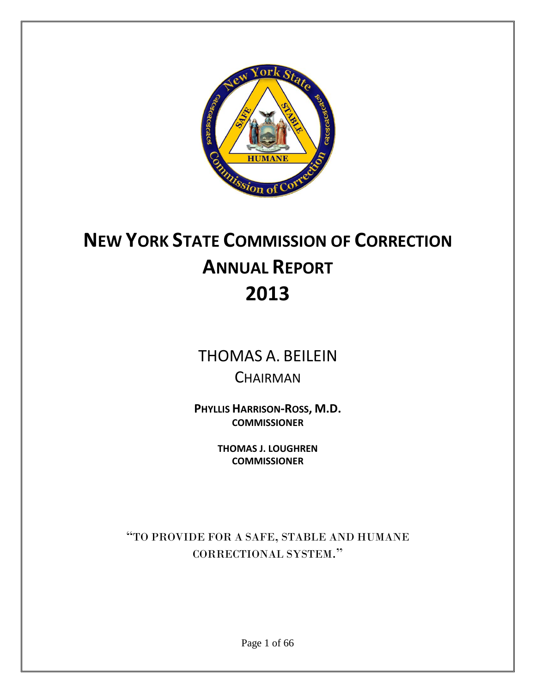

# **NEW YORK STATE COMMISSION OF CORRECTION ANNUAL REPORT 2013**

# THOMAS A. BEILEIN **CHAIRMAN**

**PHYLLIS HARRISON-ROSS, M.D. COMMISSIONER**

> **THOMAS J. LOUGHREN COMMISSIONER**

"TO PROVIDE FOR A SAFE, STABLE AND HUMANE CORRECTIONAL SYSTEM."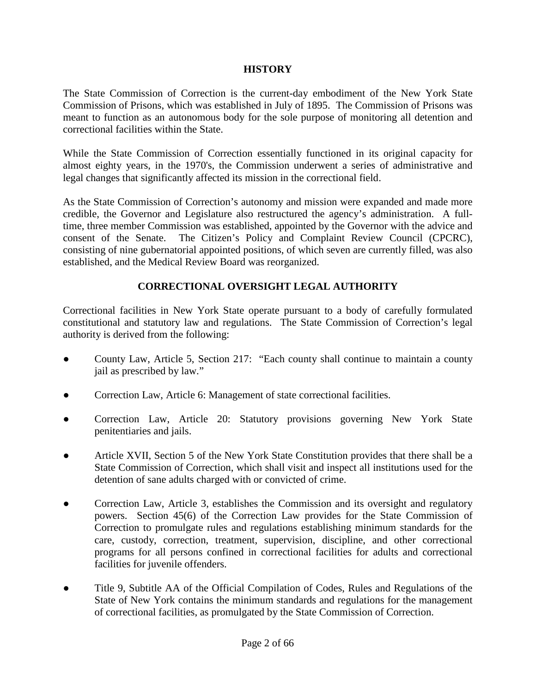# **HISTORY**

The State Commission of Correction is the current-day embodiment of the New York State Commission of Prisons, which was established in July of 1895. The Commission of Prisons was meant to function as an autonomous body for the sole purpose of monitoring all detention and correctional facilities within the State.

While the State Commission of Correction essentially functioned in its original capacity for almost eighty years, in the 1970's, the Commission underwent a series of administrative and legal changes that significantly affected its mission in the correctional field.

As the State Commission of Correction's autonomy and mission were expanded and made more credible, the Governor and Legislature also restructured the agency's administration. A fulltime, three member Commission was established, appointed by the Governor with the advice and consent of the Senate. The Citizen's Policy and Complaint Review Council (CPCRC), consisting of nine gubernatorial appointed positions, of which seven are currently filled, was also established, and the Medical Review Board was reorganized.

# **CORRECTIONAL OVERSIGHT LEGAL AUTHORITY**

Correctional facilities in New York State operate pursuant to a body of carefully formulated constitutional and statutory law and regulations. The State Commission of Correction's legal authority is derived from the following:

- County Law, Article 5, Section 217: "Each county shall continue to maintain a county jail as prescribed by law."
- Correction Law, Article 6: Management of state correctional facilities.
- Correction Law, Article 20: Statutory provisions governing New York State penitentiaries and jails.
- Article XVII, Section 5 of the New York State Constitution provides that there shall be a State Commission of Correction, which shall visit and inspect all institutions used for the detention of sane adults charged with or convicted of crime.
- Correction Law, Article 3, establishes the Commission and its oversight and regulatory powers. Section 45(6) of the Correction Law provides for the State Commission of Correction to promulgate rules and regulations establishing minimum standards for the care, custody, correction, treatment, supervision, discipline, and other correctional programs for all persons confined in correctional facilities for adults and correctional facilities for juvenile offenders.
- Title 9, Subtitle AA of the Official Compilation of Codes, Rules and Regulations of the State of New York contains the minimum standards and regulations for the management of correctional facilities, as promulgated by the State Commission of Correction.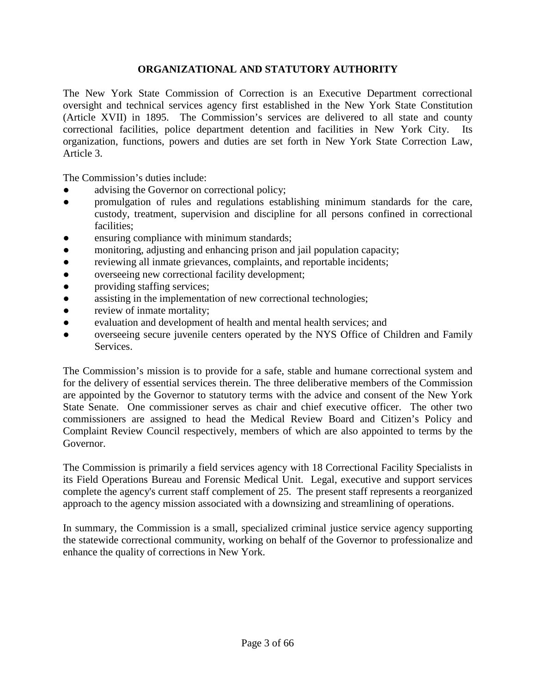# **ORGANIZATIONAL AND STATUTORY AUTHORITY**

The New York State Commission of Correction is an Executive Department correctional oversight and technical services agency first established in the New York State Constitution (Article XVII) in 1895. The Commission's services are delivered to all state and county correctional facilities, police department detention and facilities in New York City. Its organization, functions, powers and duties are set forth in New York State Correction Law, Article 3.

The Commission's duties include:

- advising the Governor on correctional policy;
- promulgation of rules and regulations establishing minimum standards for the care, custody, treatment, supervision and discipline for all persons confined in correctional facilities;
- ensuring compliance with minimum standards;
- monitoring, adjusting and enhancing prison and jail population capacity;
- reviewing all inmate grievances, complaints, and reportable incidents;
- overseeing new correctional facility development;
- providing staffing services;
- assisting in the implementation of new correctional technologies;
- review of inmate mortality;
- evaluation and development of health and mental health services; and
- overseeing secure juvenile centers operated by the NYS Office of Children and Family Services.

The Commission's mission is to provide for a safe, stable and humane correctional system and for the delivery of essential services therein. The three deliberative members of the Commission are appointed by the Governor to statutory terms with the advice and consent of the New York State Senate. One commissioner serves as chair and chief executive officer. The other two commissioners are assigned to head the Medical Review Board and Citizen's Policy and Complaint Review Council respectively, members of which are also appointed to terms by the Governor.

The Commission is primarily a field services agency with 18 Correctional Facility Specialists in its Field Operations Bureau and Forensic Medical Unit. Legal, executive and support services complete the agency's current staff complement of 25. The present staff represents a reorganized approach to the agency mission associated with a downsizing and streamlining of operations.

In summary, the Commission is a small, specialized criminal justice service agency supporting the statewide correctional community, working on behalf of the Governor to professionalize and enhance the quality of corrections in New York.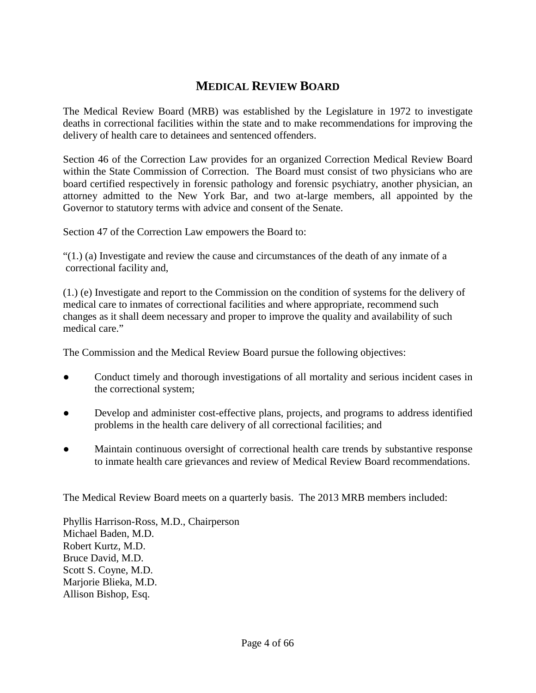# **MEDICAL REVIEW BOARD**

The Medical Review Board (MRB) was established by the Legislature in 1972 to investigate deaths in correctional facilities within the state and to make recommendations for improving the delivery of health care to detainees and sentenced offenders.

Section 46 of the Correction Law provides for an organized Correction Medical Review Board within the State Commission of Correction. The Board must consist of two physicians who are board certified respectively in forensic pathology and forensic psychiatry, another physician, an attorney admitted to the New York Bar, and two at-large members, all appointed by the Governor to statutory terms with advice and consent of the Senate.

Section 47 of the Correction Law empowers the Board to:

 $(1)$  (a) Investigate and review the cause and circumstances of the death of any inmate of a correctional facility and,

(1.) (e) Investigate and report to the Commission on the condition of systems for the delivery of medical care to inmates of correctional facilities and where appropriate, recommend such changes as it shall deem necessary and proper to improve the quality and availability of such medical care."

The Commission and the Medical Review Board pursue the following objectives:

- Conduct timely and thorough investigations of all mortality and serious incident cases in the correctional system;
- Develop and administer cost-effective plans, projects, and programs to address identified problems in the health care delivery of all correctional facilities; and
- Maintain continuous oversight of correctional health care trends by substantive response to inmate health care grievances and review of Medical Review Board recommendations.

The Medical Review Board meets on a quarterly basis. The 2013 MRB members included:

Phyllis Harrison-Ross, M.D., Chairperson Michael Baden, M.D. Robert Kurtz, M.D. Bruce David, M.D. Scott S. Coyne, M.D. Marjorie Blieka, M.D. Allison Bishop, Esq.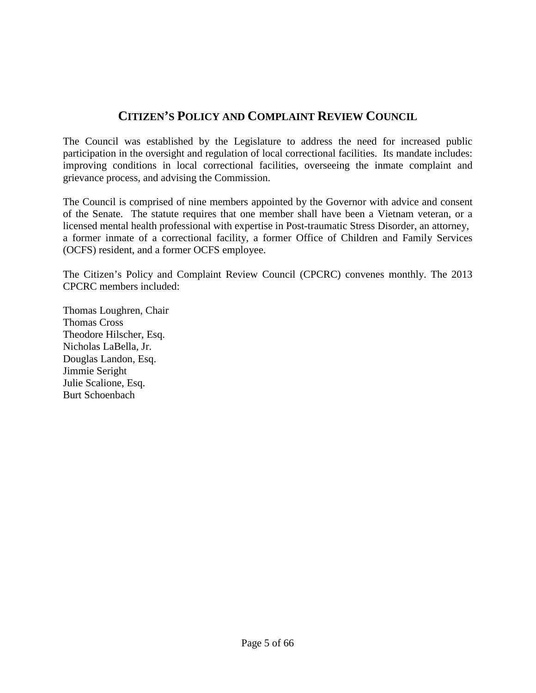# **CITIZEN'S POLICY AND COMPLAINT REVIEW COUNCIL**

The Council was established by the Legislature to address the need for increased public participation in the oversight and regulation of local correctional facilities. Its mandate includes: improving conditions in local correctional facilities, overseeing the inmate complaint and grievance process, and advising the Commission.

The Council is comprised of nine members appointed by the Governor with advice and consent of the Senate. The statute requires that one member shall have been a Vietnam veteran, or a licensed mental health professional with expertise in Post-traumatic Stress Disorder, an attorney, a former inmate of a correctional facility, a former Office of Children and Family Services (OCFS) resident, and a former OCFS employee.

The Citizen's Policy and Complaint Review Council (CPCRC) convenes monthly. The 2013 CPCRC members included:

Thomas Loughren, Chair Thomas Cross Theodore Hilscher, Esq. Nicholas LaBella, Jr. Douglas Landon, Esq. Jimmie Seright Julie Scalione, Esq. Burt Schoenbach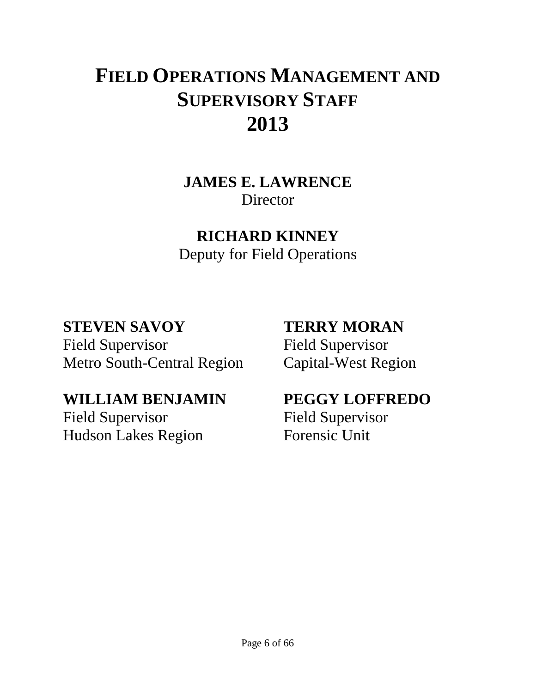# **FIELD OPERATIONS MANAGEMENT AND SUPERVISORY STAFF 2013**

**JAMES E. LAWRENCE Director** 

# **RICHARD KINNEY**

Deputy for Field Operations

# **STEVEN SAVOY**

Field Supervisor Metro South-Central Region

# **WILLIAM BENJAMIN**

Field Supervisor Hudson Lakes Region

# **TERRY MORAN**

Field Supervisor Capital-West Region

# **PEGGY LOFFREDO**

Field Supervisor Forensic Unit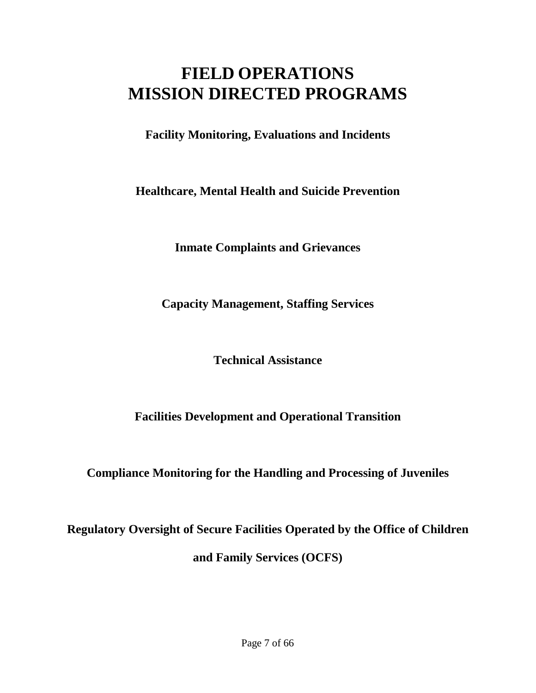# **FIELD OPERATIONS MISSION DIRECTED PROGRAMS**

**Facility Monitoring, Evaluations and Incidents**

**Healthcare, Mental Health and Suicide Prevention**

**Inmate Complaints and Grievances**

**Capacity Management, Staffing Services**

**Technical Assistance**

**Facilities Development and Operational Transition**

**Compliance Monitoring for the Handling and Processing of Juveniles**

**Regulatory Oversight of Secure Facilities Operated by the Office of Children and Family Services (OCFS)**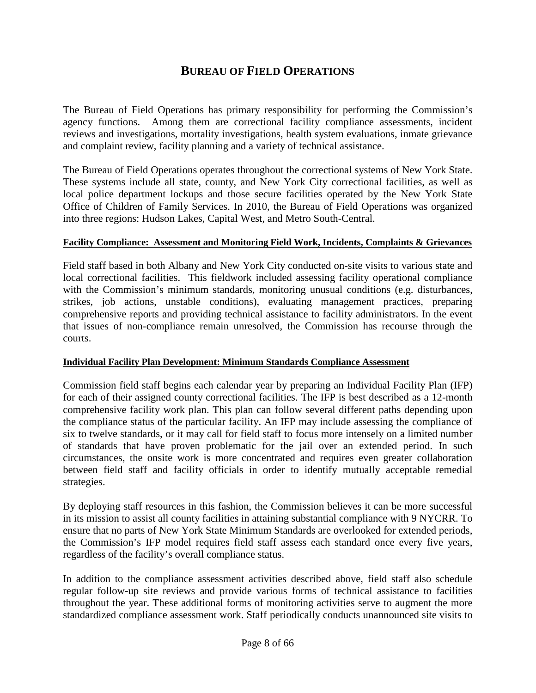# **BUREAU OF FIELD OPERATIONS**

The Bureau of Field Operations has primary responsibility for performing the Commission's agency functions. Among them are correctional facility compliance assessments, incident reviews and investigations, mortality investigations, health system evaluations, inmate grievance and complaint review, facility planning and a variety of technical assistance.

The Bureau of Field Operations operates throughout the correctional systems of New York State. These systems include all state, county, and New York City correctional facilities, as well as local police department lockups and those secure facilities operated by the New York State Office of Children of Family Services. In 2010, the Bureau of Field Operations was organized into three regions: Hudson Lakes, Capital West, and Metro South-Central.

# **Facility Compliance: Assessment and Monitoring Field Work, Incidents, Complaints & Grievances**

Field staff based in both Albany and New York City conducted on-site visits to various state and local correctional facilities. This fieldwork included assessing facility operational compliance with the Commission's minimum standards, monitoring unusual conditions (e.g. disturbances, strikes, job actions, unstable conditions), evaluating management practices, preparing comprehensive reports and providing technical assistance to facility administrators. In the event that issues of non-compliance remain unresolved, the Commission has recourse through the courts.

# **Individual Facility Plan Development: Minimum Standards Compliance Assessment**

Commission field staff begins each calendar year by preparing an Individual Facility Plan (IFP) for each of their assigned county correctional facilities. The IFP is best described as a 12-month comprehensive facility work plan. This plan can follow several different paths depending upon the compliance status of the particular facility. An IFP may include assessing the compliance of six to twelve standards, or it may call for field staff to focus more intensely on a limited number of standards that have proven problematic for the jail over an extended period. In such circumstances, the onsite work is more concentrated and requires even greater collaboration between field staff and facility officials in order to identify mutually acceptable remedial strategies.

By deploying staff resources in this fashion, the Commission believes it can be more successful in its mission to assist all county facilities in attaining substantial compliance with 9 NYCRR. To ensure that no parts of New York State Minimum Standards are overlooked for extended periods, the Commission's IFP model requires field staff assess each standard once every five years, regardless of the facility's overall compliance status.

In addition to the compliance assessment activities described above, field staff also schedule regular follow-up site reviews and provide various forms of technical assistance to facilities throughout the year. These additional forms of monitoring activities serve to augment the more standardized compliance assessment work. Staff periodically conducts unannounced site visits to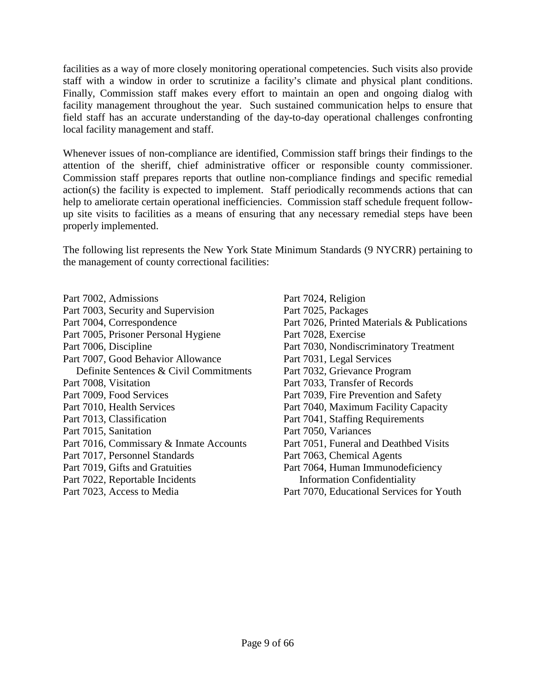facilities as a way of more closely monitoring operational competencies. Such visits also provide staff with a window in order to scrutinize a facility's climate and physical plant conditions. Finally, Commission staff makes every effort to maintain an open and ongoing dialog with facility management throughout the year. Such sustained communication helps to ensure that field staff has an accurate understanding of the day-to-day operational challenges confronting local facility management and staff.

Whenever issues of non-compliance are identified, Commission staff brings their findings to the attention of the sheriff, chief administrative officer or responsible county commissioner. Commission staff prepares reports that outline non-compliance findings and specific remedial action(s) the facility is expected to implement. Staff periodically recommends actions that can help to ameliorate certain operational inefficiencies. Commission staff schedule frequent followup site visits to facilities as a means of ensuring that any necessary remedial steps have been properly implemented.

The following list represents the New York State Minimum Standards (9 NYCRR) pertaining to the management of county correctional facilities:

Part 7002, Admissions Part 7003, Security and Supervision Part 7004, Correspondence Part 7005, Prisoner Personal Hygiene Part 7006, Discipline Part 7007, Good Behavior Allowance Definite Sentences & Civil Commitments Part 7008, Visitation Part 7009, Food Services Part 7010, Health Services Part 7013, Classification Part 7015, Sanitation Part 7016, Commissary & Inmate Accounts Part 7017, Personnel Standards Part 7019, Gifts and Gratuities Part 7022, Reportable Incidents Part 7023, Access to Media

Part 7024, Religion Part 7025, Packages Part 7026, Printed Materials & Publications Part 7028, Exercise Part 7030, Nondiscriminatory Treatment Part 7031, Legal Services Part 7032, Grievance Program Part 7033, Transfer of Records Part 7039, Fire Prevention and Safety Part 7040, Maximum Facility Capacity Part 7041, Staffing Requirements Part 7050, Variances Part 7051, Funeral and Deathbed Visits Part 7063, Chemical Agents Part 7064, Human Immunodeficiency Information Confidentiality Part 7070, Educational Services for Youth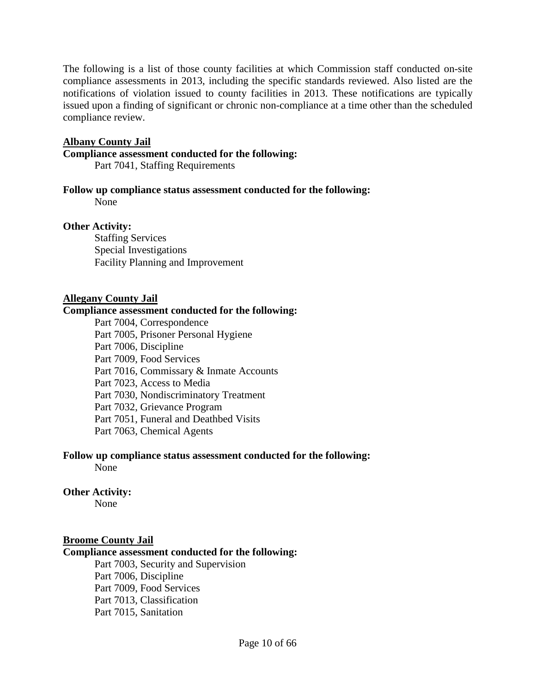The following is a list of those county facilities at which Commission staff conducted on-site compliance assessments in 2013, including the specific standards reviewed. Also listed are the notifications of violation issued to county facilities in 2013. These notifications are typically issued upon a finding of significant or chronic non-compliance at a time other than the scheduled compliance review.

# **Albany County Jail**

### **Compliance assessment conducted for the following:**

Part 7041, Staffing Requirements

#### **Follow up compliance status assessment conducted for the following:**

None

# **Other Activity:**

Staffing Services Special Investigations Facility Planning and Improvement

#### **Allegany County Jail**

#### **Compliance assessment conducted for the following:**

Part 7004, Correspondence Part 7005, Prisoner Personal Hygiene Part 7006, Discipline Part 7009, Food Services Part 7016, Commissary & Inmate Accounts Part 7023, Access to Media Part 7030, Nondiscriminatory Treatment Part 7032, Grievance Program Part 7051, Funeral and Deathbed Visits Part 7063, Chemical Agents

# **Follow up compliance status assessment conducted for the following:**

None

# **Other Activity:**

None

### **Broome County Jail**

#### **Compliance assessment conducted for the following:**

Part 7003, Security and Supervision Part 7006, Discipline Part 7009, Food Services Part 7013, Classification Part 7015, Sanitation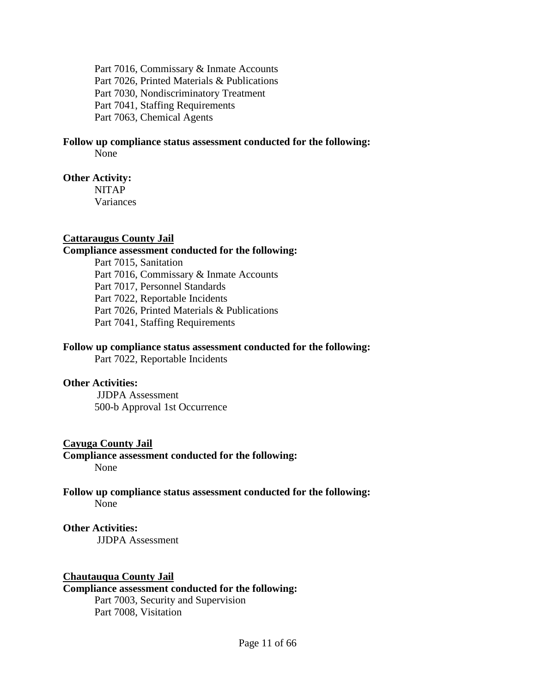Part 7016, Commissary & Inmate Accounts Part 7026, Printed Materials & Publications Part 7030, Nondiscriminatory Treatment Part 7041, Staffing Requirements Part 7063, Chemical Agents

# **Follow up compliance status assessment conducted for the following:**

None

# **Other Activity:**

NITAP Variances

# **Cattaraugus County Jail**

# **Compliance assessment conducted for the following:**

Part 7015, Sanitation Part 7016, Commissary & Inmate Accounts Part 7017, Personnel Standards Part 7022, Reportable Incidents Part 7026, Printed Materials & Publications Part 7041, Staffing Requirements

# **Follow up compliance status assessment conducted for the following:**

Part 7022, Reportable Incidents

# **Other Activities:**

JJDPA Assessment 500-b Approval 1st Occurrence

# **Cayuga County Jail**

**Compliance assessment conducted for the following:** None

#### **Follow up compliance status assessment conducted for the following:** None

# **Other Activities:**

JJDPA Assessment

# **Chautauqua County Jail**

# **Compliance assessment conducted for the following:**

Part 7003, Security and Supervision Part 7008, Visitation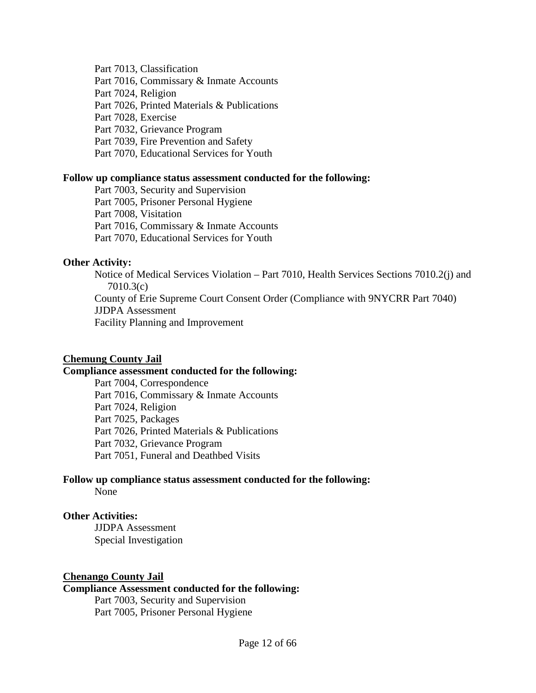Part 7013, Classification

Part 7016, Commissary & Inmate Accounts

Part 7024, Religion

Part 7026, Printed Materials & Publications

Part 7028, Exercise

Part 7032, Grievance Program

Part 7039, Fire Prevention and Safety

Part 7070, Educational Services for Youth

# **Follow up compliance status assessment conducted for the following:**

Part 7003, Security and Supervision Part 7005, Prisoner Personal Hygiene Part 7008, Visitation Part 7016, Commissary & Inmate Accounts Part 7070, Educational Services for Youth

# **Other Activity:**

Notice of Medical Services Violation – Part 7010, Health Services Sections 7010.2(j) and 7010.3(c) County of Erie Supreme Court Consent Order (Compliance with 9NYCRR Part 7040) JJDPA Assessment Facility Planning and Improvement

# **Chemung County Jail**

# **Compliance assessment conducted for the following:**

Part 7004, Correspondence Part 7016, Commissary & Inmate Accounts Part 7024, Religion Part 7025, Packages Part 7026, Printed Materials & Publications Part 7032, Grievance Program Part 7051, Funeral and Deathbed Visits

#### **Follow up compliance status assessment conducted for the following:** None

**Other Activities:** JJDPA Assessment Special Investigation

# **Chenango County Jail**

# **Compliance Assessment conducted for the following:**

Part 7003, Security and Supervision Part 7005, Prisoner Personal Hygiene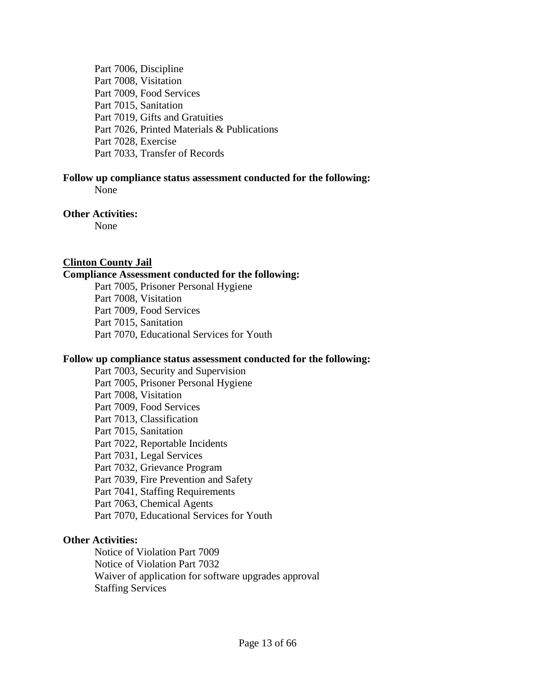Part 7006, Discipline Part 7008, Visitation Part 7009, Food Services Part 7015, Sanitation Part 7019, Gifts and Gratuities Part 7026, Printed Materials & Publications Part 7028, Exercise Part 7033, Transfer of Records

# **Follow up compliance status assessment conducted for the following:**

None

# **Other Activities:**

None

# **Clinton County Jail**

# **Compliance Assessment conducted for the following:**

Part 7005, Prisoner Personal Hygiene Part 7008, Visitation Part 7009, Food Services Part 7015, Sanitation Part 7070, Educational Services for Youth

#### **Follow up compliance status assessment conducted for the following:**

Part 7003, Security and Supervision Part 7005, Prisoner Personal Hygiene Part 7008, Visitation Part 7009, Food Services Part 7013, Classification Part 7015, Sanitation Part 7022, Reportable Incidents Part 7031, Legal Services Part 7032, Grievance Program Part 7039, Fire Prevention and Safety Part 7041, Staffing Requirements Part 7063, Chemical Agents Part 7070, Educational Services for Youth

# **Other Activities:**

Notice of Violation Part 7009 Notice of Violation Part 7032 Waiver of application for software upgrades approval Staffing Services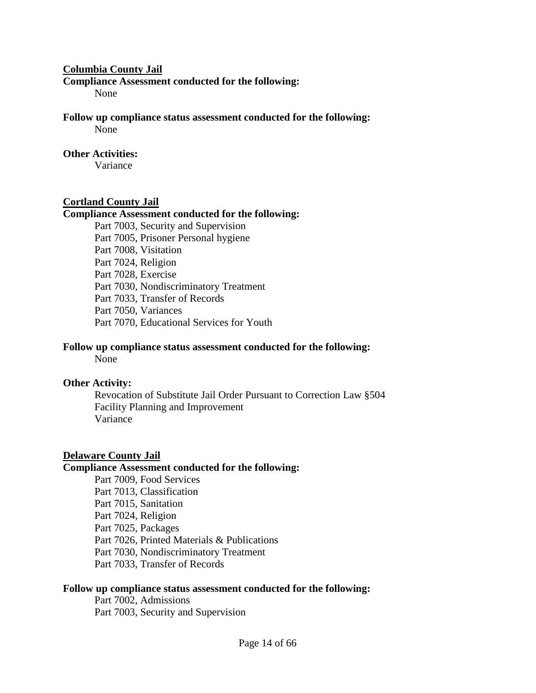#### **Columbia County Jail**

**Compliance Assessment conducted for the following:** 

None

**Follow up compliance status assessment conducted for the following:** None

# **Other Activities:**

Variance

# **Cortland County Jail**

# **Compliance Assessment conducted for the following:**

Part 7003, Security and Supervision Part 7005, Prisoner Personal hygiene Part 7008, Visitation Part 7024, Religion Part 7028, Exercise Part 7030, Nondiscriminatory Treatment Part 7033, Transfer of Records Part 7050, Variances Part 7070, Educational Services for Youth

# **Follow up compliance status assessment conducted for the following:**

None

# **Other Activity:**

Revocation of Substitute Jail Order Pursuant to Correction Law §504 Facility Planning and Improvement Variance

#### **Delaware County Jail**

#### **Compliance Assessment conducted for the following:**

Part 7009, Food Services Part 7013, Classification Part 7015, Sanitation Part 7024, Religion Part 7025, Packages Part 7026, Printed Materials & Publications Part 7030, Nondiscriminatory Treatment Part 7033, Transfer of Records

#### **Follow up compliance status assessment conducted for the following:**

Part 7002, Admissions Part 7003, Security and Supervision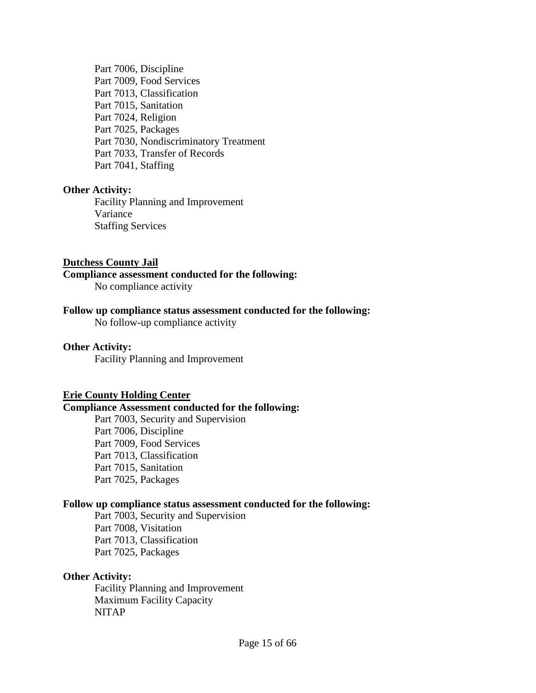Part 7006, Discipline Part 7009, Food Services Part 7013, Classification Part 7015, Sanitation Part 7024, Religion Part 7025, Packages Part 7030, Nondiscriminatory Treatment Part 7033, Transfer of Records Part 7041, Staffing

# **Other Activity:**

Facility Planning and Improvement Variance Staffing Services

#### **Dutchess County Jail**

# **Compliance assessment conducted for the following:**

No compliance activity

#### **Follow up compliance status assessment conducted for the following:**

No follow-up compliance activity

#### **Other Activity:**

Facility Planning and Improvement

#### **Erie County Holding Center**

#### **Compliance Assessment conducted for the following:**

Part 7003, Security and Supervision Part 7006, Discipline Part 7009, Food Services Part 7013, Classification Part 7015, Sanitation Part 7025, Packages

#### **Follow up compliance status assessment conducted for the following:**

Part 7003, Security and Supervision Part 7008, Visitation Part 7013, Classification Part 7025, Packages

#### **Other Activity:**

Facility Planning and Improvement Maximum Facility Capacity NITAP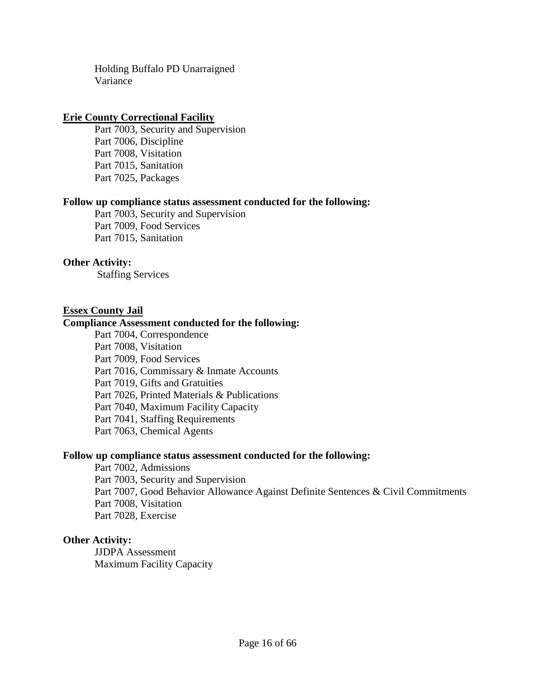Holding Buffalo PD Unarraigned Variance

### **Erie County Correctional Facility**

Part 7003, Security and Supervision Part 7006, Discipline Part 7008, Visitation Part 7015, Sanitation Part 7025, Packages

# **Follow up compliance status assessment conducted for the following:**

Part 7003, Security and Supervision Part 7009, Food Services Part 7015, Sanitation

#### **Other Activity:**

Staffing Services

#### **Essex County Jail**

#### **Compliance Assessment conducted for the following:**

Part 7004, Correspondence Part 7008, Visitation Part 7009, Food Services Part 7016, Commissary & Inmate Accounts Part 7019, Gifts and Gratuities Part 7026, Printed Materials & Publications Part 7040, Maximum Facility Capacity Part 7041, Staffing Requirements Part 7063, Chemical Agents

#### **Follow up compliance status assessment conducted for the following:**

Part 7002, Admissions Part 7003, Security and Supervision Part 7007, Good Behavior Allowance Against Definite Sentences & Civil Commitments Part 7008, Visitation Part 7028, Exercise

#### **Other Activity:**

JJDPA Assessment Maximum Facility Capacity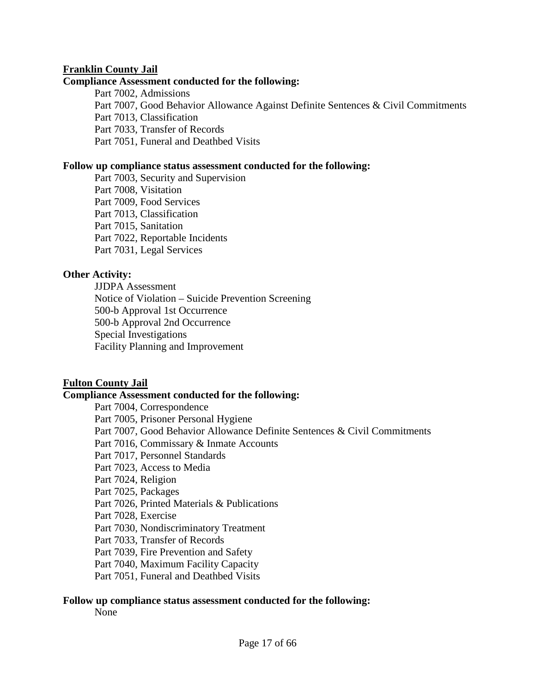# **Franklin County Jail**

### **Compliance Assessment conducted for the following:**

Part 7002, Admissions Part 7007, Good Behavior Allowance Against Definite Sentences & Civil Commitments Part 7013, Classification Part 7033, Transfer of Records Part 7051, Funeral and Deathbed Visits

### **Follow up compliance status assessment conducted for the following:**

Part 7003, Security and Supervision Part 7008, Visitation Part 7009, Food Services Part 7013, Classification Part 7015, Sanitation Part 7022, Reportable Incidents Part 7031, Legal Services

# **Other Activity:**

JJDPA Assessment Notice of Violation – Suicide Prevention Screening 500-b Approval 1st Occurrence 500-b Approval 2nd Occurrence Special Investigations Facility Planning and Improvement

# **Fulton County Jail**

# **Compliance Assessment conducted for the following:**

Part 7004, Correspondence Part 7005, Prisoner Personal Hygiene Part 7007, Good Behavior Allowance Definite Sentences & Civil Commitments Part 7016, Commissary & Inmate Accounts Part 7017, Personnel Standards Part 7023, Access to Media Part 7024, Religion Part 7025, Packages Part 7026, Printed Materials & Publications Part 7028, Exercise Part 7030, Nondiscriminatory Treatment Part 7033, Transfer of Records Part 7039, Fire Prevention and Safety Part 7040, Maximum Facility Capacity Part 7051, Funeral and Deathbed Visits

# **Follow up compliance status assessment conducted for the following:**

None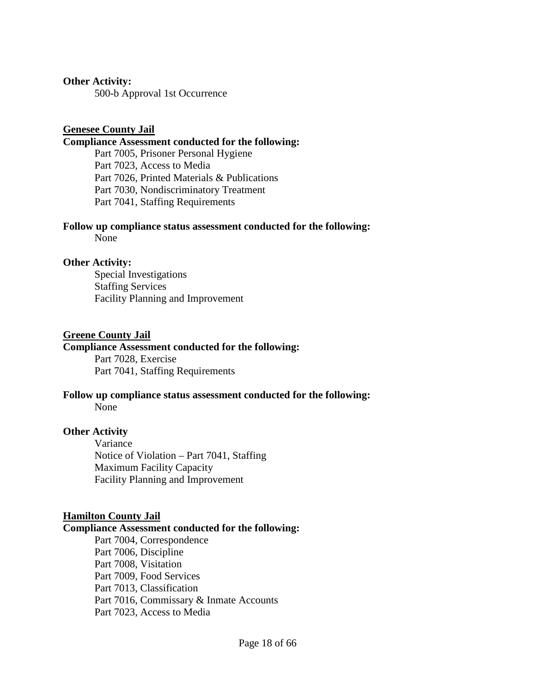#### **Other Activity:**

500-b Approval 1st Occurrence

### **Genesee County Jail**

#### **Compliance Assessment conducted for the following:**

Part 7005, Prisoner Personal Hygiene Part 7023, Access to Media Part 7026, Printed Materials & Publications Part 7030, Nondiscriminatory Treatment Part 7041, Staffing Requirements

# **Follow up compliance status assessment conducted for the following:**

None

#### **Other Activity:**

Special Investigations Staffing Services Facility Planning and Improvement

#### **Greene County Jail**

# **Compliance Assessment conducted for the following:**

Part 7028, Exercise Part 7041, Staffing Requirements

# **Follow up compliance status assessment conducted for the following:**

None

# **Other Activity**

Variance Notice of Violation – Part 7041, Staffing Maximum Facility Capacity Facility Planning and Improvement

# **Hamilton County Jail**

#### **Compliance Assessment conducted for the following:**

Part 7004, Correspondence Part 7006, Discipline Part 7008, Visitation Part 7009, Food Services Part 7013, Classification Part 7016, Commissary & Inmate Accounts Part 7023, Access to Media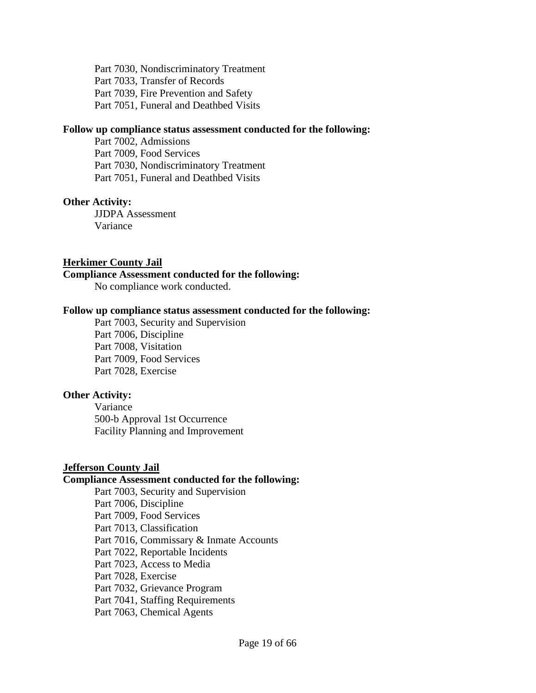Part 7030, Nondiscriminatory Treatment Part 7033, Transfer of Records Part 7039, Fire Prevention and Safety Part 7051, Funeral and Deathbed Visits

#### **Follow up compliance status assessment conducted for the following:**

Part 7002, Admissions Part 7009, Food Services Part 7030, Nondiscriminatory Treatment Part 7051, Funeral and Deathbed Visits

# **Other Activity:**

JJDPA Assessment Variance

# **Herkimer County Jail**

# **Compliance Assessment conducted for the following:**

No compliance work conducted.

#### **Follow up compliance status assessment conducted for the following:**

Part 7003, Security and Supervision Part 7006, Discipline Part 7008, Visitation Part 7009, Food Services Part 7028, Exercise

# **Other Activity:**

Variance 500-b Approval 1st Occurrence Facility Planning and Improvement

# **Jefferson County Jail**

# **Compliance Assessment conducted for the following:**

Part 7003, Security and Supervision Part 7006, Discipline Part 7009, Food Services Part 7013, Classification Part 7016, Commissary & Inmate Accounts Part 7022, Reportable Incidents Part 7023, Access to Media Part 7028, Exercise Part 7032, Grievance Program Part 7041, Staffing Requirements Part 7063, Chemical Agents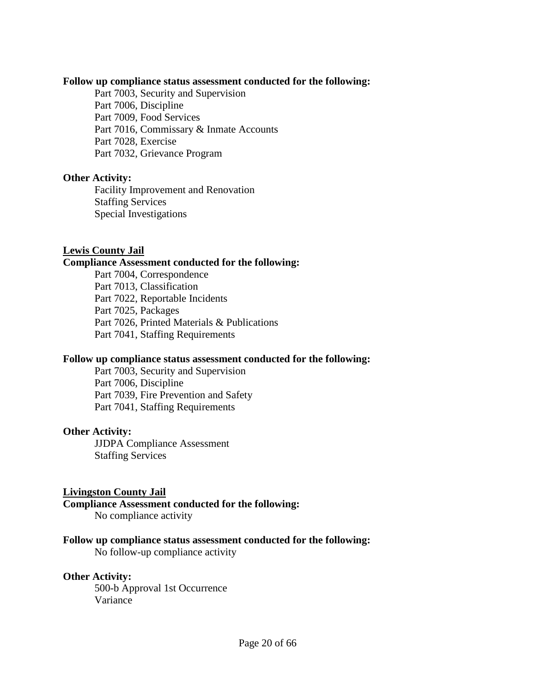#### **Follow up compliance status assessment conducted for the following:**

Part 7003, Security and Supervision Part 7006, Discipline Part 7009, Food Services Part 7016, Commissary & Inmate Accounts Part 7028, Exercise Part 7032, Grievance Program

# **Other Activity:**

Facility Improvement and Renovation Staffing Services Special Investigations

# **Lewis County Jail**

#### **Compliance Assessment conducted for the following:**

Part 7004, Correspondence Part 7013, Classification Part 7022, Reportable Incidents Part 7025, Packages Part 7026, Printed Materials & Publications Part 7041, Staffing Requirements

#### **Follow up compliance status assessment conducted for the following:**

Part 7003, Security and Supervision Part 7006, Discipline Part 7039, Fire Prevention and Safety Part 7041, Staffing Requirements

# **Other Activity:**

JJDPA Compliance Assessment Staffing Services

# **Livingston County Jail**

#### **Compliance Assessment conducted for the following:**

No compliance activity

# **Follow up compliance status assessment conducted for the following:**

No follow-up compliance activity

# **Other Activity:**

500-b Approval 1st Occurrence Variance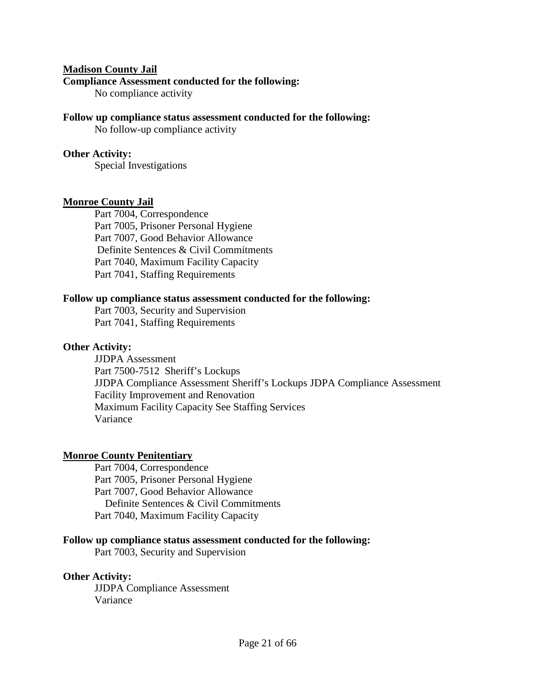#### **Madison County Jail**

#### **Compliance Assessment conducted for the following:**

No compliance activity

#### **Follow up compliance status assessment conducted for the following:**

No follow-up compliance activity

#### **Other Activity:**

Special Investigations

# **Monroe County Jail**

Part 7004, Correspondence Part 7005, Prisoner Personal Hygiene Part 7007, Good Behavior Allowance Definite Sentences & Civil Commitments Part 7040, Maximum Facility Capacity Part 7041, Staffing Requirements

#### **Follow up compliance status assessment conducted for the following:**

Part 7003, Security and Supervision Part 7041, Staffing Requirements

### **Other Activity:**

JJDPA Assessment Part 7500-7512 Sheriff's Lockups JJDPA Compliance Assessment Sheriff's Lockups JDPA Compliance Assessment Facility Improvement and Renovation Maximum Facility Capacity See Staffing Services Variance

#### **Monroe County Penitentiary**

Part 7004, Correspondence Part 7005, Prisoner Personal Hygiene Part 7007, Good Behavior Allowance Definite Sentences & Civil Commitments Part 7040, Maximum Facility Capacity

#### **Follow up compliance status assessment conducted for the following:**

Part 7003, Security and Supervision

**Other Activity:** JJDPA Compliance Assessment

Variance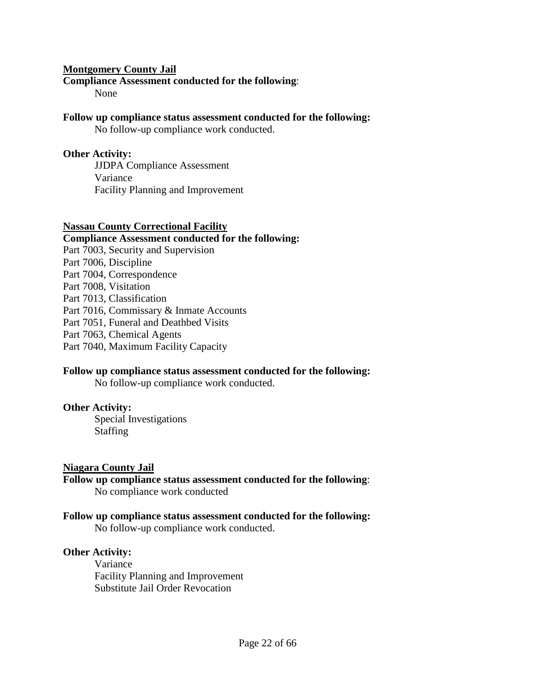# **Montgomery County Jail**

#### **Compliance Assessment conducted for the following**:

None

# **Follow up compliance status assessment conducted for the following:**

No follow-up compliance work conducted.

### **Other Activity:**

JJDPA Compliance Assessment Variance Facility Planning and Improvement

#### **Nassau County Correctional Facility**

#### **Compliance Assessment conducted for the following:**  Part 7003, Security and Supervision

- Part 7006, Discipline Part 7004, Correspondence Part 7008, Visitation
- Part 7013, Classification
- Part 7016, Commissary & Inmate Accounts
- Part 7051, Funeral and Deathbed Visits
- Part 7063, Chemical Agents
- Part 7040, Maximum Facility Capacity

# **Follow up compliance status assessment conducted for the following:**

No follow-up compliance work conducted.

#### **Other Activity:**

Special Investigations Staffing

# **Niagara County Jail**

**Follow up compliance status assessment conducted for the following**: No compliance work conducted

# **Follow up compliance status assessment conducted for the following:**

No follow-up compliance work conducted.

# **Other Activity:**

Variance Facility Planning and Improvement Substitute Jail Order Revocation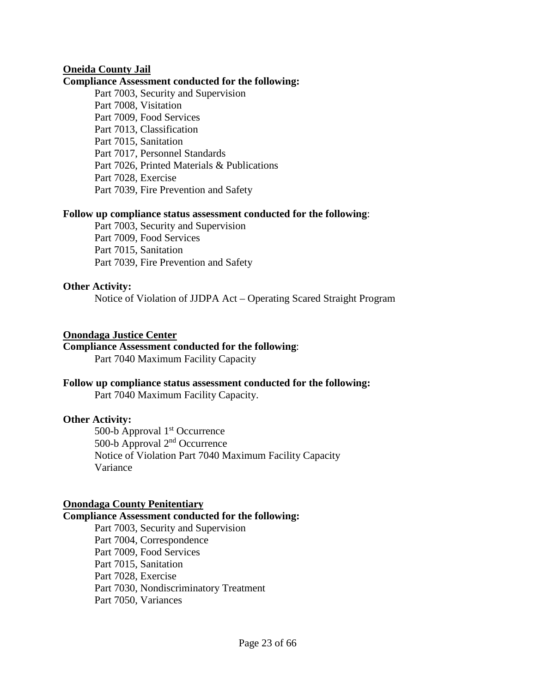# **Oneida County Jail**

### **Compliance Assessment conducted for the following:**

Part 7003, Security and Supervision Part 7008, Visitation Part 7009, Food Services Part 7013, Classification Part 7015, Sanitation Part 7017, Personnel Standards Part 7026, Printed Materials & Publications Part 7028, Exercise Part 7039, Fire Prevention and Safety

#### **Follow up compliance status assessment conducted for the following**:

Part 7003, Security and Supervision Part 7009, Food Services Part 7015, Sanitation Part 7039, Fire Prevention and Safety

# **Other Activity:**

Notice of Violation of JJDPA Act – Operating Scared Straight Program

#### **Onondaga Justice Center**

# **Compliance Assessment conducted for the following**:

Part 7040 Maximum Facility Capacity

# **Follow up compliance status assessment conducted for the following:**

Part 7040 Maximum Facility Capacity.

# **Other Activity:**

500-b Approval 1<sup>st</sup> Occurrence 500-b Approval 2nd Occurrence Notice of Violation Part 7040 Maximum Facility Capacity Variance

# **Onondaga County Penitentiary**

# **Compliance Assessment conducted for the following:**

Part 7003, Security and Supervision Part 7004, Correspondence Part 7009, Food Services Part 7015, Sanitation Part 7028, Exercise Part 7030, Nondiscriminatory Treatment Part 7050, Variances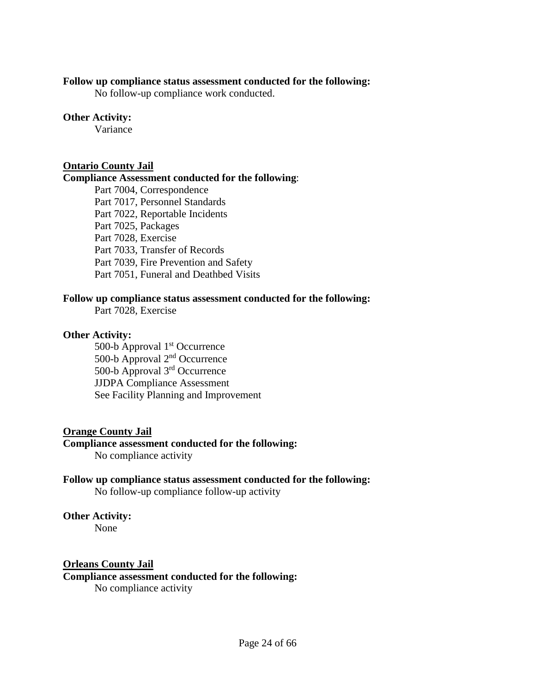#### **Follow up compliance status assessment conducted for the following:**

No follow-up compliance work conducted.

# **Other Activity:**

Variance

# **Ontario County Jail**

#### **Compliance Assessment conducted for the following**:

Part 7004, Correspondence Part 7017, Personnel Standards Part 7022, Reportable Incidents Part 7025, Packages Part 7028, Exercise Part 7033, Transfer of Records Part 7039, Fire Prevention and Safety Part 7051, Funeral and Deathbed Visits

# **Follow up compliance status assessment conducted for the following:**

Part 7028, Exercise

# **Other Activity:**

500-b Approval 1<sup>st</sup> Occurrence 500-b Approval 2nd Occurrence 500-b Approval 3rd Occurrence JJDPA Compliance Assessment See Facility Planning and Improvement

# **Orange County Jail**

# **Compliance assessment conducted for the following:**

No compliance activity

# **Follow up compliance status assessment conducted for the following:**

No follow-up compliance follow-up activity

# **Other Activity:**

None

# **Orleans County Jail**

#### **Compliance assessment conducted for the following:**  No compliance activity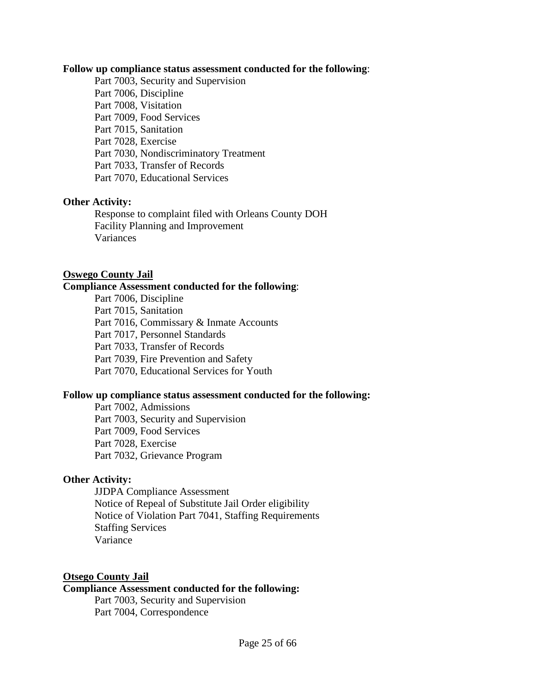#### **Follow up compliance status assessment conducted for the following**:

Part 7003, Security and Supervision Part 7006, Discipline Part 7008, Visitation Part 7009, Food Services Part 7015, Sanitation Part 7028, Exercise Part 7030, Nondiscriminatory Treatment Part 7033, Transfer of Records Part 7070, Educational Services

# **Other Activity:**

Response to complaint filed with Orleans County DOH Facility Planning and Improvement Variances

#### **Oswego County Jail**

# **Compliance Assessment conducted for the following**:

Part 7006, Discipline Part 7015, Sanitation Part 7016, Commissary & Inmate Accounts Part 7017, Personnel Standards Part 7033, Transfer of Records Part 7039, Fire Prevention and Safety Part 7070, Educational Services for Youth

# **Follow up compliance status assessment conducted for the following:**

Part 7002, Admissions Part 7003, Security and Supervision Part 7009, Food Services Part 7028, Exercise Part 7032, Grievance Program

# **Other Activity:**

JJDPA Compliance Assessment Notice of Repeal of Substitute Jail Order eligibility Notice of Violation Part 7041, Staffing Requirements Staffing Services Variance

# **Otsego County Jail**

# **Compliance Assessment conducted for the following:**

Part 7003, Security and Supervision Part 7004, Correspondence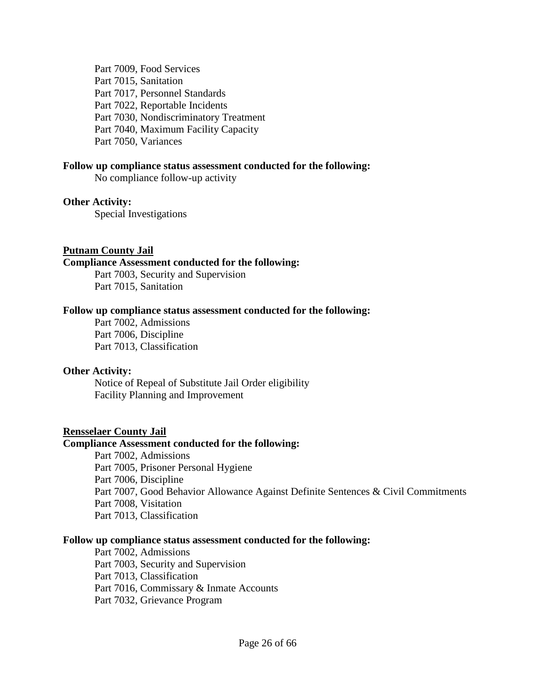Part 7009, Food Services Part 7015, Sanitation Part 7017, Personnel Standards Part 7022, Reportable Incidents Part 7030, Nondiscriminatory Treatment Part 7040, Maximum Facility Capacity Part 7050, Variances

### **Follow up compliance status assessment conducted for the following:**

No compliance follow-up activity

#### **Other Activity:**

Special Investigations

#### **Putnam County Jail**

#### **Compliance Assessment conducted for the following:**

Part 7003, Security and Supervision Part 7015, Sanitation

#### **Follow up compliance status assessment conducted for the following:**

Part 7002, Admissions Part 7006, Discipline Part 7013, Classification

#### **Other Activity:**

Notice of Repeal of Substitute Jail Order eligibility Facility Planning and Improvement

#### **Rensselaer County Jail**

### **Compliance Assessment conducted for the following:**

Part 7002, Admissions Part 7005, Prisoner Personal Hygiene Part 7006, Discipline Part 7007, Good Behavior Allowance Against Definite Sentences & Civil Commitments Part 7008, Visitation Part 7013, Classification

#### **Follow up compliance status assessment conducted for the following:**

Part 7002, Admissions Part 7003, Security and Supervision Part 7013, Classification Part 7016, Commissary & Inmate Accounts Part 7032, Grievance Program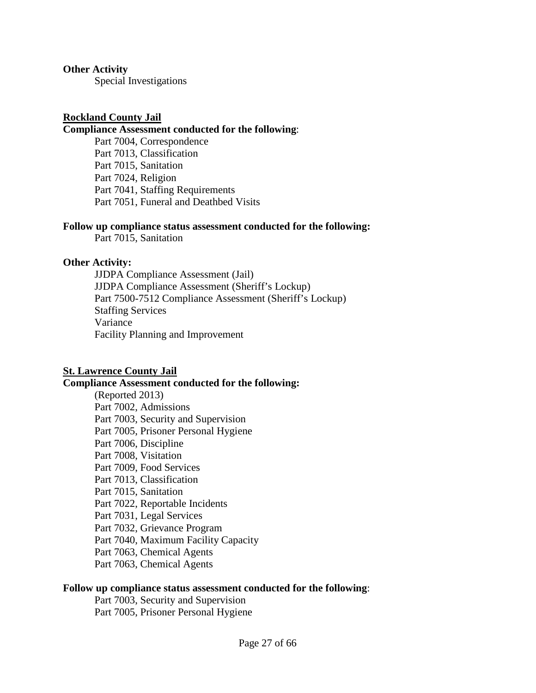#### **Other Activity**

Special Investigations

### **Rockland County Jail**

#### **Compliance Assessment conducted for the following**:

Part 7004, Correspondence Part 7013, Classification Part 7015, Sanitation Part 7024, Religion Part 7041, Staffing Requirements Part 7051, Funeral and Deathbed Visits

#### **Follow up compliance status assessment conducted for the following:**

Part 7015, Sanitation

#### **Other Activity:**

JJDPA Compliance Assessment (Jail) JJDPA Compliance Assessment (Sheriff's Lockup) Part 7500-7512 Compliance Assessment (Sheriff's Lockup) Staffing Services Variance Facility Planning and Improvement

# **St. Lawrence County Jail**

#### **Compliance Assessment conducted for the following:**

(Reported 2013) Part 7002, Admissions Part 7003, Security and Supervision Part 7005, Prisoner Personal Hygiene Part 7006, Discipline Part 7008, Visitation Part 7009, Food Services Part 7013, Classification Part 7015, Sanitation Part 7022, Reportable Incidents Part 7031, Legal Services Part 7032, Grievance Program Part 7040, Maximum Facility Capacity Part 7063, Chemical Agents Part 7063, Chemical Agents

#### **Follow up compliance status assessment conducted for the following**:

Part 7003, Security and Supervision Part 7005, Prisoner Personal Hygiene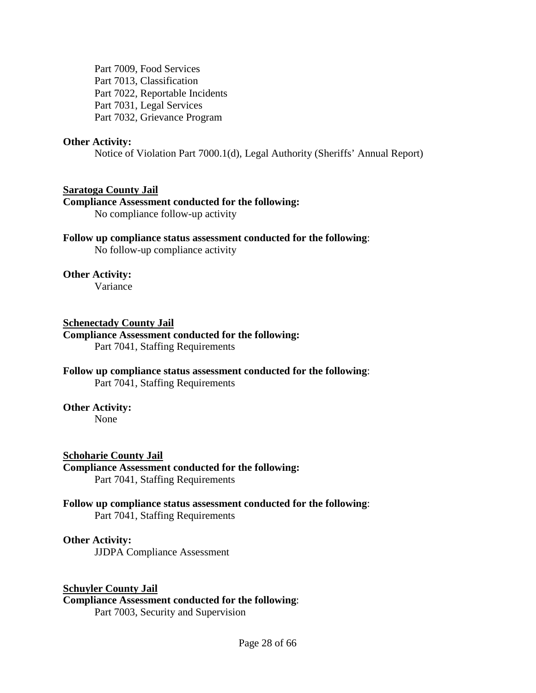Part 7009, Food Services Part 7013, Classification Part 7022, Reportable Incidents Part 7031, Legal Services Part 7032, Grievance Program

#### **Other Activity:**

Notice of Violation Part 7000.1(d), Legal Authority (Sheriffs' Annual Report)

#### **Saratoga County Jail**

#### **Compliance Assessment conducted for the following:**

No compliance follow-up activity

#### **Follow up compliance status assessment conducted for the following**: No follow-up compliance activity

#### **Other Activity:**

Variance

# **Schenectady County Jail**

# **Compliance Assessment conducted for the following:**

Part 7041, Staffing Requirements

# **Follow up compliance status assessment conducted for the following**: Part 7041, Staffing Requirements

#### **Other Activity:**

None

#### **Schoharie County Jail**

#### **Compliance Assessment conducted for the following:**

Part 7041, Staffing Requirements

#### **Follow up compliance status assessment conducted for the following**: Part 7041, Staffing Requirements

#### **Other Activity:**

JJDPA Compliance Assessment

#### **Schuyler County Jail**

#### **Compliance Assessment conducted for the following**:

Part 7003, Security and Supervision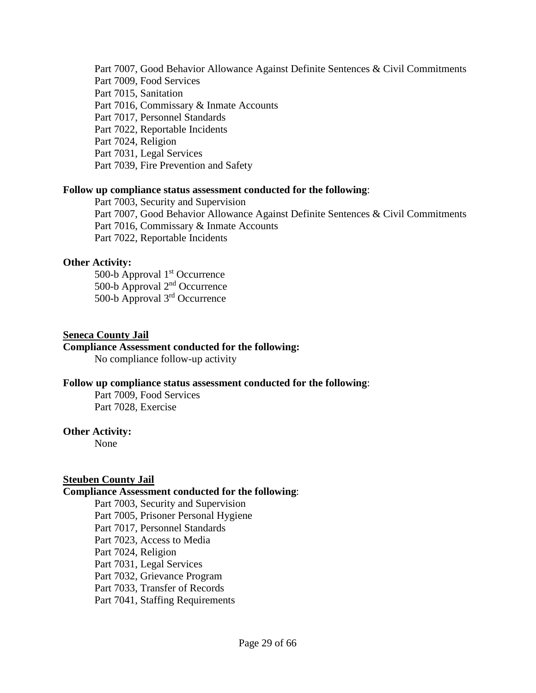Part 7007, Good Behavior Allowance Against Definite Sentences & Civil Commitments Part 7009, Food Services Part 7015, Sanitation Part 7016, Commissary & Inmate Accounts Part 7017, Personnel Standards Part 7022, Reportable Incidents Part 7024, Religion Part 7031, Legal Services Part 7039, Fire Prevention and Safety

#### **Follow up compliance status assessment conducted for the following**:

Part 7003, Security and Supervision Part 7007, Good Behavior Allowance Against Definite Sentences & Civil Commitments Part 7016, Commissary & Inmate Accounts Part 7022, Reportable Incidents

#### **Other Activity:**

500-b Approval 1<sup>st</sup> Occurrence 500-b Approval 2nd Occurrence 500-b Approval 3rd Occurrence

### **Seneca County Jail**

### **Compliance Assessment conducted for the following:**

No compliance follow-up activity

#### **Follow up compliance status assessment conducted for the following**:

Part 7009, Food Services Part 7028, Exercise

#### **Other Activity:**

None

# **Steuben County Jail**

#### **Compliance Assessment conducted for the following**:

Part 7003, Security and Supervision Part 7005, Prisoner Personal Hygiene Part 7017, Personnel Standards Part 7023, Access to Media Part 7024, Religion Part 7031, Legal Services Part 7032, Grievance Program Part 7033, Transfer of Records Part 7041, Staffing Requirements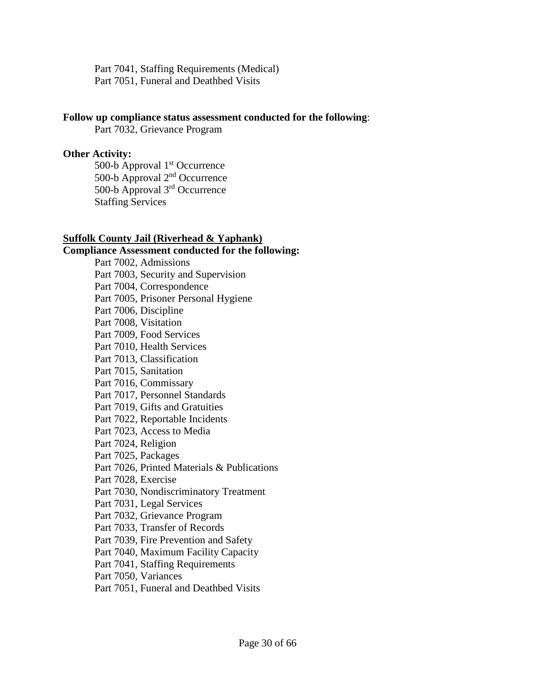Part 7041, Staffing Requirements (Medical) Part 7051, Funeral and Deathbed Visits

#### **Follow up compliance status assessment conducted for the following**:

Part 7032, Grievance Program

# **Other Activity:**

500-b Approval 1<sup>st</sup> Occurrence 500-b Approval 2nd Occurrence 500-b Approval 3rd Occurrence Staffing Services

#### **Suffolk County Jail (Riverhead & Yaphank)**

**Compliance Assessment conducted for the following:** Part 7002, Admissions Part 7003, Security and Supervision Part 7004, Correspondence Part 7005, Prisoner Personal Hygiene Part 7006, Discipline Part 7008, Visitation Part 7009, Food Services Part 7010, Health Services Part 7013, Classification Part 7015, Sanitation Part 7016, Commissary Part 7017, Personnel Standards Part 7019, Gifts and Gratuities Part 7022, Reportable Incidents Part 7023, Access to Media Part 7024, Religion Part 7025, Packages Part 7026, Printed Materials & Publications Part 7028, Exercise Part 7030, Nondiscriminatory Treatment Part 7031, Legal Services Part 7032, Grievance Program Part 7033, Transfer of Records Part 7039, Fire Prevention and Safety Part 7040, Maximum Facility Capacity Part 7041, Staffing Requirements Part 7050, Variances Part 7051, Funeral and Deathbed Visits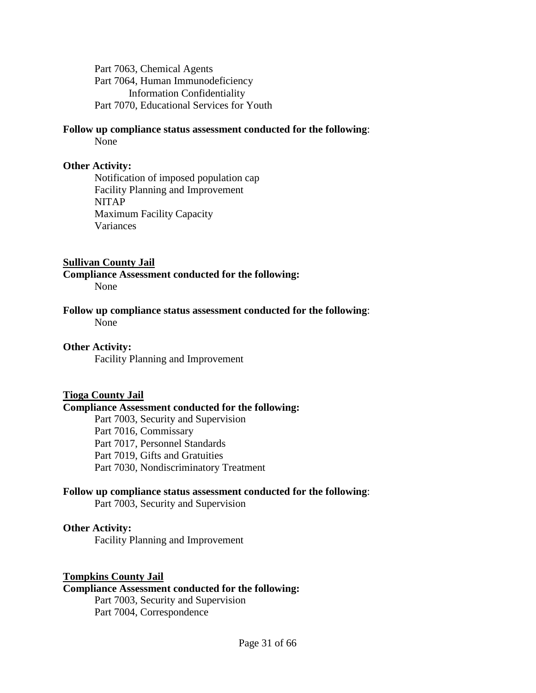Part 7063, Chemical Agents Part 7064, Human Immunodeficiency Information Confidentiality Part 7070, Educational Services for Youth

# **Follow up compliance status assessment conducted for the following**:

None

# **Other Activity:**

Notification of imposed population cap Facility Planning and Improvement NITAP Maximum Facility Capacity Variances

# **Sullivan County Jail**

# **Compliance Assessment conducted for the following:**

None

# **Follow up compliance status assessment conducted for the following**:

None

# **Other Activity:**

Facility Planning and Improvement

# **Tioga County Jail**

# **Compliance Assessment conducted for the following:**

Part 7003, Security and Supervision Part 7016, Commissary Part 7017, Personnel Standards Part 7019, Gifts and Gratuities Part 7030, Nondiscriminatory Treatment

# **Follow up compliance status assessment conducted for the following**:

Part 7003, Security and Supervision

# **Other Activity:**

Facility Planning and Improvement

# **Tompkins County Jail**

# **Compliance Assessment conducted for the following:**

Part 7003, Security and Supervision Part 7004, Correspondence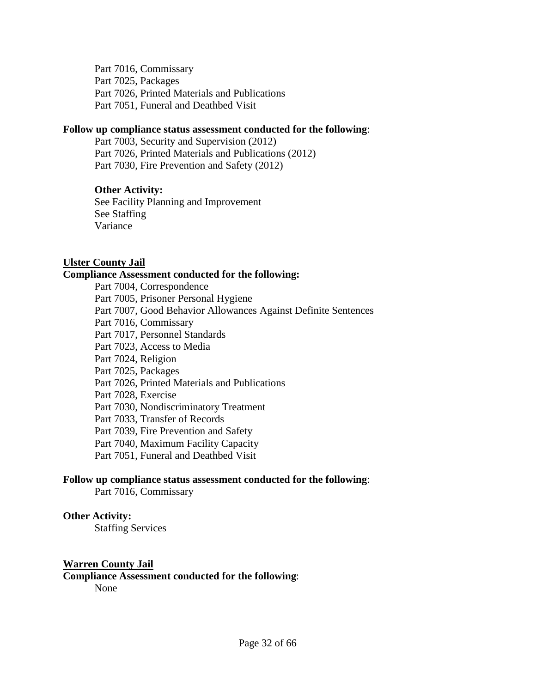Part 7016, Commissary Part 7025, Packages Part 7026, Printed Materials and Publications Part 7051, Funeral and Deathbed Visit

#### **Follow up compliance status assessment conducted for the following**:

Part 7003, Security and Supervision (2012) Part 7026, Printed Materials and Publications (2012) Part 7030, Fire Prevention and Safety (2012)

# **Other Activity:**

See Facility Planning and Improvement See Staffing Variance

# **Ulster County Jail**

# **Compliance Assessment conducted for the following:**

Part 7004, Correspondence Part 7005, Prisoner Personal Hygiene Part 7007, Good Behavior Allowances Against Definite Sentences Part 7016, Commissary Part 7017, Personnel Standards Part 7023, Access to Media Part 7024, Religion Part 7025, Packages Part 7026, Printed Materials and Publications Part 7028, Exercise Part 7030, Nondiscriminatory Treatment Part 7033, Transfer of Records Part 7039, Fire Prevention and Safety Part 7040, Maximum Facility Capacity Part 7051, Funeral and Deathbed Visit

# **Follow up compliance status assessment conducted for the following**:

Part 7016, Commissary

# **Other Activity:**

Staffing Services

# **Warren County Jail**

**Compliance Assessment conducted for the following**:

None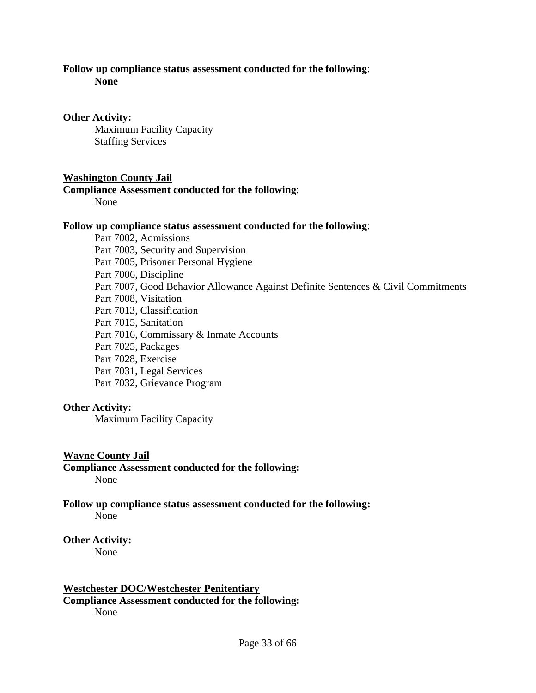#### **Follow up compliance status assessment conducted for the following**:

**None**

### **Other Activity:**

Maximum Facility Capacity Staffing Services

# **Washington County Jail**

# **Compliance Assessment conducted for the following**:

None

#### **Follow up compliance status assessment conducted for the following**:

Part 7002, Admissions Part 7003, Security and Supervision Part 7005, Prisoner Personal Hygiene Part 7006, Discipline Part 7007, Good Behavior Allowance Against Definite Sentences & Civil Commitments Part 7008, Visitation Part 7013, Classification Part 7015, Sanitation Part 7016, Commissary & Inmate Accounts Part 7025, Packages Part 7028, Exercise Part 7031, Legal Services Part 7032, Grievance Program

# **Other Activity:**

Maximum Facility Capacity

# **Wayne County Jail**

**Compliance Assessment conducted for the following:** None

#### **Follow up compliance status assessment conducted for the following:** None

**Other Activity:**

None

# **Westchester DOC/Westchester Penitentiary Compliance Assessment conducted for the following:** None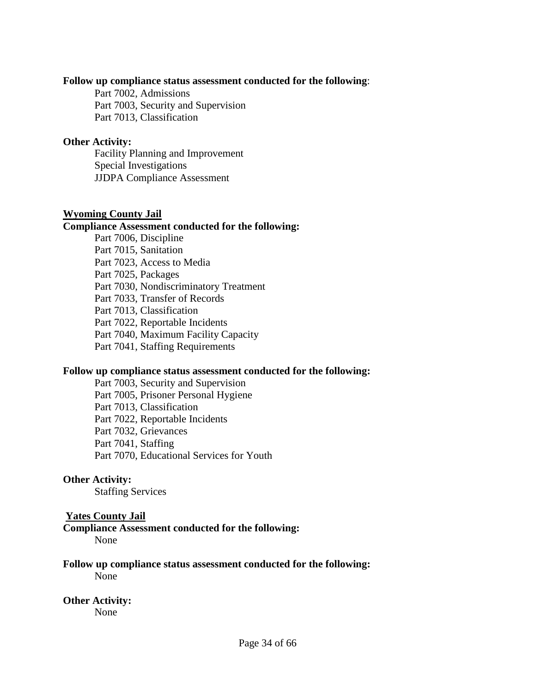#### **Follow up compliance status assessment conducted for the following**:

Part 7002, Admissions Part 7003, Security and Supervision Part 7013, Classification

#### **Other Activity:**

Facility Planning and Improvement Special Investigations JJDPA Compliance Assessment

#### **Wyoming County Jail**

#### **Compliance Assessment conducted for the following:**

Part 7006, Discipline Part 7015, Sanitation Part 7023, Access to Media Part 7025, Packages Part 7030, Nondiscriminatory Treatment Part 7033, Transfer of Records Part 7013, Classification Part 7022, Reportable Incidents Part 7040, Maximum Facility Capacity Part 7041, Staffing Requirements

#### **Follow up compliance status assessment conducted for the following:**

Part 7003, Security and Supervision Part 7005, Prisoner Personal Hygiene Part 7013, Classification Part 7022, Reportable Incidents Part 7032, Grievances Part 7041, Staffing Part 7070, Educational Services for Youth

#### **Other Activity:**

Staffing Services

#### **Yates County Jail**

**Compliance Assessment conducted for the following:**  None

**Follow up compliance status assessment conducted for the following:** None

#### **Other Activity:**

None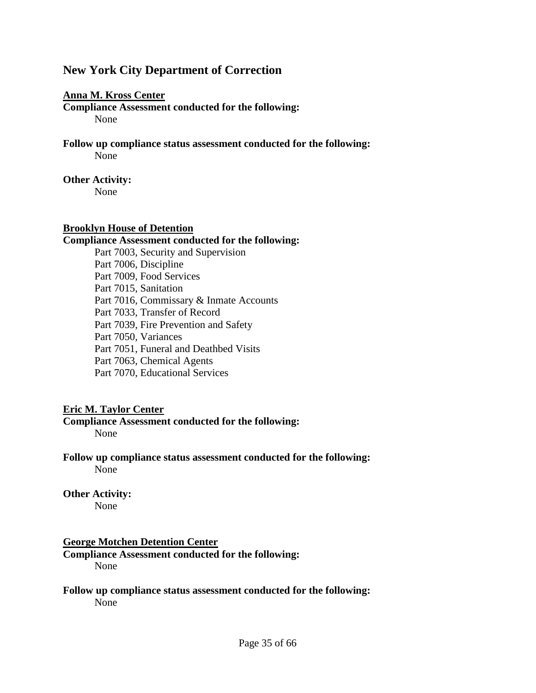# **New York City Department of Correction**

#### **Anna M. Kross Center**

**Compliance Assessment conducted for the following:**  None

**Follow up compliance status assessment conducted for the following:** None

#### **Other Activity:**

None

#### **Brooklyn House of Detention**

#### **Compliance Assessment conducted for the following:**

Part 7003, Security and Supervision Part 7006, Discipline Part 7009, Food Services Part 7015, Sanitation Part 7016, Commissary & Inmate Accounts Part 7033, Transfer of Record Part 7039, Fire Prevention and Safety Part 7050, Variances Part 7051, Funeral and Deathbed Visits Part 7063, Chemical Agents Part 7070, Educational Services

# **Eric M. Taylor Center**

# **Compliance Assessment conducted for the following:**

None

**Follow up compliance status assessment conducted for the following:** None

**Other Activity:** None

# **George Motchen Detention Center**

**Compliance Assessment conducted for the following:**  None

**Follow up compliance status assessment conducted for the following:** None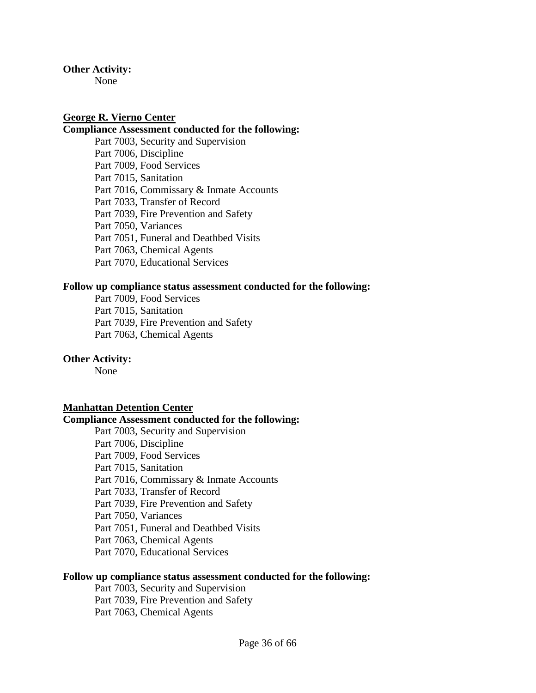#### **Other Activity:**

None

# **George R. Vierno Center**

# **Compliance Assessment conducted for the following:**

Part 7003, Security and Supervision Part 7006, Discipline Part 7009, Food Services Part 7015, Sanitation Part 7016, Commissary & Inmate Accounts Part 7033, Transfer of Record Part 7039, Fire Prevention and Safety Part 7050, Variances Part 7051, Funeral and Deathbed Visits Part 7063, Chemical Agents Part 7070, Educational Services

#### **Follow up compliance status assessment conducted for the following:**

Part 7009, Food Services Part 7015, Sanitation Part 7039, Fire Prevention and Safety Part 7063, Chemical Agents

#### **Other Activity:**

None

#### **Manhattan Detention Center**

#### **Compliance Assessment conducted for the following:**

Part 7003, Security and Supervision Part 7006, Discipline Part 7009, Food Services Part 7015, Sanitation Part 7016, Commissary & Inmate Accounts Part 7033, Transfer of Record Part 7039, Fire Prevention and Safety Part 7050, Variances Part 7051, Funeral and Deathbed Visits Part 7063, Chemical Agents Part 7070, Educational Services

# **Follow up compliance status assessment conducted for the following:**

Part 7003, Security and Supervision Part 7039, Fire Prevention and Safety Part 7063, Chemical Agents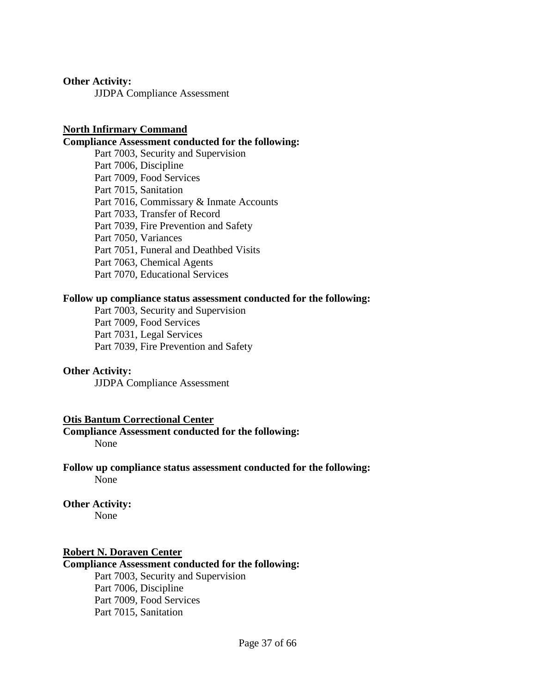#### **Other Activity:**

JJDPA Compliance Assessment

### **North Infirmary Command**

#### **Compliance Assessment conducted for the following:**

Part 7003, Security and Supervision Part 7006, Discipline Part 7009, Food Services Part 7015, Sanitation Part 7016, Commissary & Inmate Accounts Part 7033, Transfer of Record Part 7039, Fire Prevention and Safety Part 7050, Variances Part 7051, Funeral and Deathbed Visits Part 7063, Chemical Agents Part 7070, Educational Services

#### **Follow up compliance status assessment conducted for the following:**

Part 7003, Security and Supervision Part 7009, Food Services Part 7031, Legal Services Part 7039, Fire Prevention and Safety

#### **Other Activity:**

JJDPA Compliance Assessment

#### **Otis Bantum Correctional Center**

**Compliance Assessment conducted for the following:**  None

**Follow up compliance status assessment conducted for the following:** None

# **Other Activity:**

None

#### **Robert N. Doraven Center**

### **Compliance Assessment conducted for the following:**

Part 7003, Security and Supervision Part 7006, Discipline Part 7009, Food Services Part 7015, Sanitation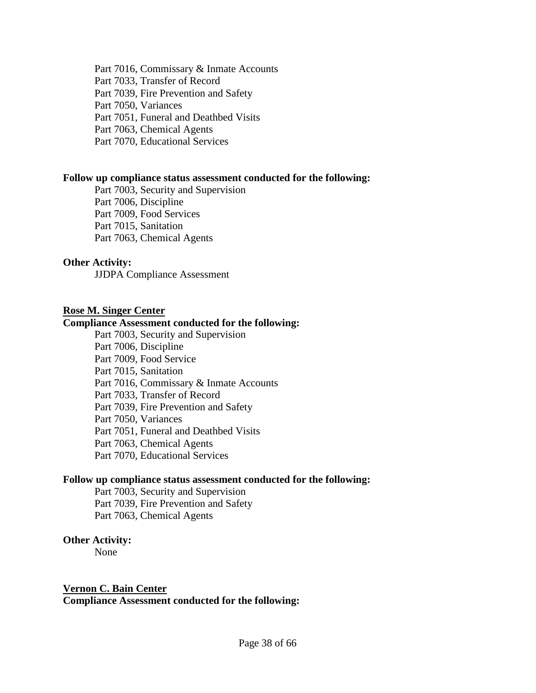Part 7016, Commissary & Inmate Accounts Part 7033, Transfer of Record Part 7039, Fire Prevention and Safety Part 7050, Variances Part 7051, Funeral and Deathbed Visits Part 7063, Chemical Agents Part 7070, Educational Services

#### **Follow up compliance status assessment conducted for the following:**

Part 7003, Security and Supervision Part 7006, Discipline Part 7009, Food Services Part 7015, Sanitation Part 7063, Chemical Agents

# **Other Activity:**

JJDPA Compliance Assessment

#### **Rose M. Singer Center**

#### **Compliance Assessment conducted for the following:**

Part 7003, Security and Supervision Part 7006, Discipline Part 7009, Food Service Part 7015, Sanitation Part 7016, Commissary & Inmate Accounts Part 7033, Transfer of Record Part 7039, Fire Prevention and Safety Part 7050, Variances Part 7051, Funeral and Deathbed Visits Part 7063, Chemical Agents Part 7070, Educational Services

#### **Follow up compliance status assessment conducted for the following:**

Part 7003, Security and Supervision Part 7039, Fire Prevention and Safety Part 7063, Chemical Agents

#### **Other Activity:**

None

#### **Vernon C. Bain Center**

**Compliance Assessment conducted for the following:**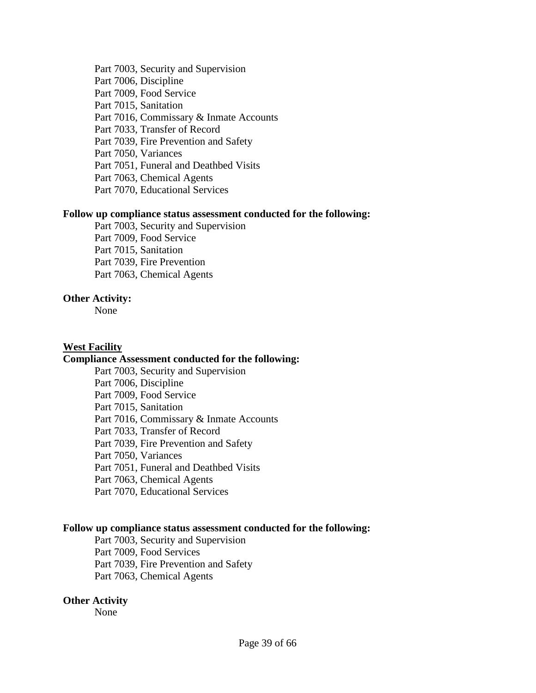Part 7003, Security and Supervision Part 7006, Discipline Part 7009, Food Service Part 7015, Sanitation Part 7016, Commissary & Inmate Accounts Part 7033, Transfer of Record Part 7039, Fire Prevention and Safety Part 7050, Variances Part 7051, Funeral and Deathbed Visits Part 7063, Chemical Agents Part 7070, Educational Services

#### **Follow up compliance status assessment conducted for the following:**

Part 7003, Security and Supervision Part 7009, Food Service Part 7015, Sanitation Part 7039, Fire Prevention Part 7063, Chemical Agents

# **Other Activity:**

None

# **West Facility**

# **Compliance Assessment conducted for the following:**

Part 7003, Security and Supervision Part 7006, Discipline Part 7009, Food Service Part 7015, Sanitation Part 7016, Commissary & Inmate Accounts Part 7033, Transfer of Record Part 7039, Fire Prevention and Safety Part 7050, Variances Part 7051, Funeral and Deathbed Visits Part 7063, Chemical Agents Part 7070, Educational Services

#### **Follow up compliance status assessment conducted for the following:**

Part 7003, Security and Supervision Part 7009, Food Services Part 7039, Fire Prevention and Safety Part 7063, Chemical Agents

#### **Other Activity**

None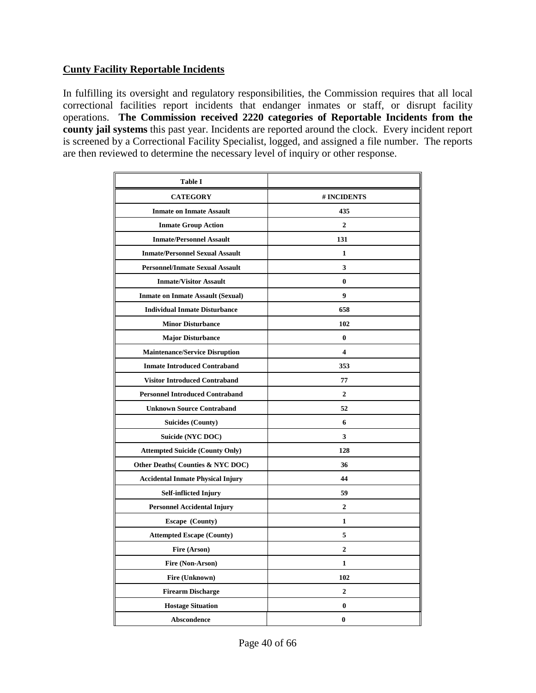# **Cunty Facility Reportable Incidents**

In fulfilling its oversight and regulatory responsibilities, the Commission requires that all local correctional facilities report incidents that endanger inmates or staff, or disrupt facility operations. **The Commission received 2220 categories of Reportable Incidents from the county jail systems** this past year. Incidents are reported around the clock. Every incident report is screened by a Correctional Facility Specialist, logged, and assigned a file number. The reports are then reviewed to determine the necessary level of inquiry or other response.

| <b>Table I</b>                           |                         |
|------------------------------------------|-------------------------|
| <b>CATEGORY</b>                          | # INCIDENTS             |
| <b>Inmate on Inmate Assault</b>          | 435                     |
| <b>Inmate Group Action</b>               | $\mathbf{2}$            |
| <b>Inmate/Personnel Assault</b>          | 131                     |
| <b>Inmate/Personnel Sexual Assault</b>   | 1                       |
| <b>Personnel/Inmate Sexual Assault</b>   | 3                       |
| <b>Inmate/Visitor Assault</b>            | $\bf{0}$                |
| <b>Inmate on Inmate Assault (Sexual)</b> | $\boldsymbol{9}$        |
| <b>Individual Inmate Disturbance</b>     | 658                     |
| <b>Minor Disturbance</b>                 | 102                     |
| <b>Major Disturbance</b>                 | $\bf{0}$                |
| <b>Maintenance/Service Disruption</b>    | $\overline{\mathbf{4}}$ |
| <b>Inmate Introduced Contraband</b>      | 353                     |
| <b>Visitor Introduced Contraband</b>     | 77                      |
| <b>Personnel Introduced Contraband</b>   | $\overline{2}$          |
| <b>Unknown Source Contraband</b>         | 52                      |
| <b>Suicides (County)</b>                 | 6                       |
| Suicide (NYC DOC)                        | 3                       |
| <b>Attempted Suicide (County Only)</b>   | 128                     |
| Other Deaths (Counties & NYC DOC)        | 36                      |
| <b>Accidental Inmate Physical Injury</b> | 44                      |
| <b>Self-inflicted Injury</b>             | 59                      |
| <b>Personnel Accidental Injury</b>       | $\overline{2}$          |
| <b>Escape</b> (County)                   | $\mathbf{1}$            |
| <b>Attempted Escape (County)</b>         | 5                       |
| Fire (Arson)                             | $\overline{2}$          |
| Fire (Non-Arson)                         | $\mathbf{1}$            |
| Fire (Unknown)                           | 102                     |
| <b>Firearm Discharge</b>                 | $\overline{2}$          |
| <b>Hostage Situation</b>                 | $\bf{0}$                |
| <b>Abscondence</b>                       | $\bf{0}$                |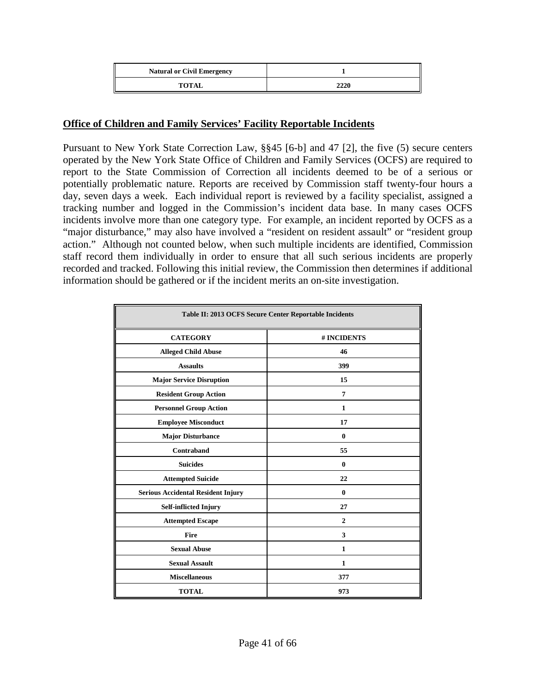| <b>Natural or Civil Emergency</b> |      |
|-----------------------------------|------|
| <b>TOTAL</b>                      | 2220 |

# **Office of Children and Family Services' Facility Reportable Incidents**

Pursuant to New York State Correction Law, §§45 [6-b] and 47 [2], the five (5) secure centers operated by the New York State Office of Children and Family Services (OCFS) are required to report to the State Commission of Correction all incidents deemed to be of a serious or potentially problematic nature. Reports are received by Commission staff twenty-four hours a day, seven days a week. Each individual report is reviewed by a facility specialist, assigned a tracking number and logged in the Commission's incident data base. In many cases OCFS incidents involve more than one category type. For example, an incident reported by OCFS as a "major disturbance," may also have involved a "resident on resident assault" or "resident group action." Although not counted below, when such multiple incidents are identified, Commission staff record them individually in order to ensure that all such serious incidents are properly recorded and tracked. Following this initial review, the Commission then determines if additional information should be gathered or if the incident merits an on-site investigation.

| Table II: 2013 OCFS Secure Center Reportable Incidents |                |  |  |  |
|--------------------------------------------------------|----------------|--|--|--|
| <b>CATEGORY</b>                                        | # INCIDENTS    |  |  |  |
| <b>Alleged Child Abuse</b>                             | 46             |  |  |  |
| <b>Assaults</b>                                        | 399            |  |  |  |
| <b>Major Service Disruption</b>                        | 15             |  |  |  |
| <b>Resident Group Action</b>                           | $\overline{7}$ |  |  |  |
| <b>Personnel Group Action</b>                          | $\mathbf{1}$   |  |  |  |
| <b>Employee Misconduct</b>                             | 17             |  |  |  |
| <b>Major Disturbance</b>                               | $\bf{0}$       |  |  |  |
| Contraband                                             | 55             |  |  |  |
| <b>Suicides</b>                                        | $\bf{0}$       |  |  |  |
| <b>Attempted Suicide</b>                               | 22             |  |  |  |
| <b>Serious Accidental Resident Injury</b>              | $\bf{0}$       |  |  |  |
| <b>Self-inflicted Injury</b>                           | 27             |  |  |  |
| <b>Attempted Escape</b>                                | $\overline{2}$ |  |  |  |
| <b>Fire</b>                                            | 3              |  |  |  |
| <b>Sexual Abuse</b>                                    | $\mathbf{1}$   |  |  |  |
| <b>Sexual Assault</b>                                  | $\mathbf{1}$   |  |  |  |
| <b>Miscellaneous</b>                                   | 377            |  |  |  |
| <b>TOTAL</b><br>973                                    |                |  |  |  |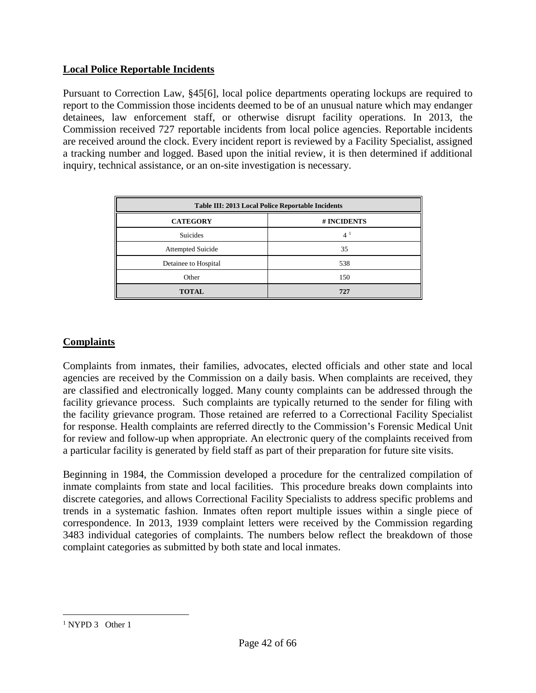# **Local Police Reportable Incidents**

Pursuant to Correction Law, §45[6], local police departments operating lockups are required to report to the Commission those incidents deemed to be of an unusual nature which may endanger detainees, law enforcement staff, or otherwise disrupt facility operations. In 2013, the Commission received 727 reportable incidents from local police agencies. Reportable incidents are received around the clock. Every incident report is reviewed by a Facility Specialist, assigned a tracking number and logged. Based upon the initial review, it is then determined if additional inquiry, technical assistance, or an on-site investigation is necessary.

| Table III: 2013 Local Police Reportable Incidents |                |  |  |  |
|---------------------------------------------------|----------------|--|--|--|
| <b>CATEGORY</b>                                   | # INCIDENTS    |  |  |  |
| <b>Suicides</b>                                   | 4 <sup>1</sup> |  |  |  |
| <b>Attempted Suicide</b>                          | 35             |  |  |  |
| Detainee to Hospital                              | 538            |  |  |  |
| Other                                             | 150            |  |  |  |
| <b>TOTAL</b>                                      | 727            |  |  |  |

# **Complaints**

Complaints from inmates, their families, advocates, elected officials and other state and local agencies are received by the Commission on a daily basis. When complaints are received, they are classified and electronically logged. Many county complaints can be addressed through the facility grievance process. Such complaints are typically returned to the sender for filing with the facility grievance program. Those retained are referred to a Correctional Facility Specialist for response. Health complaints are referred directly to the Commission's Forensic Medical Unit for review and follow-up when appropriate. An electronic query of the complaints received from a particular facility is generated by field staff as part of their preparation for future site visits.

Beginning in 1984, the Commission developed a procedure for the centralized compilation of inmate complaints from state and local facilities. This procedure breaks down complaints into discrete categories, and allows Correctional Facility Specialists to address specific problems and trends in a systematic fashion. Inmates often report multiple issues within a single piece of correspondence. In 2013, 1939 complaint letters were received by the Commission regarding 3483 individual categories of complaints. The numbers below reflect the breakdown of those complaint categories as submitted by both state and local inmates.

<span id="page-41-0"></span><sup>&</sup>lt;sup>1</sup> NYPD 3 Other 1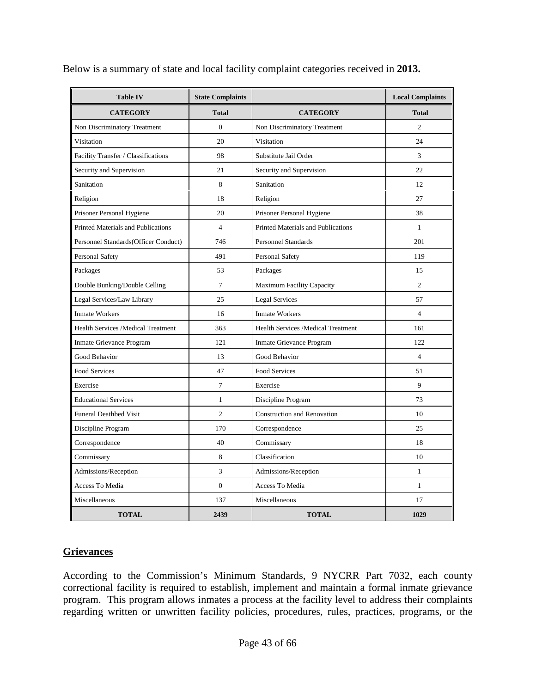| <b>Table IV</b>                           | <b>State Complaints</b> |                                           | <b>Local Complaints</b> |  |
|-------------------------------------------|-------------------------|-------------------------------------------|-------------------------|--|
| <b>CATEGORY</b>                           | <b>Total</b>            | <b>CATEGORY</b>                           | <b>Total</b>            |  |
| Non Discriminatory Treatment              | $\overline{0}$          | Non Discriminatory Treatment              | $\overline{c}$          |  |
| Visitation                                | 20                      | Visitation                                | 24                      |  |
| Facility Transfer / Classifications       | 98                      | Substitute Jail Order                     | 3                       |  |
| Security and Supervision                  | 21                      | Security and Supervision                  | 22.                     |  |
| Sanitation                                | 8                       | Sanitation                                | 12                      |  |
| Religion                                  | 18                      | Religion                                  | 27                      |  |
| Prisoner Personal Hygiene                 | 20                      | Prisoner Personal Hygiene                 | 38                      |  |
| <b>Printed Materials and Publications</b> | $\overline{4}$          | <b>Printed Materials and Publications</b> | $\mathbf{1}$            |  |
| Personnel Standards(Officer Conduct)      | 746                     | <b>Personnel Standards</b>                | 201                     |  |
| Personal Safety                           | 491                     | <b>Personal Safety</b>                    | 119                     |  |
| Packages                                  | 53                      | Packages                                  | 15                      |  |
| Double Bunking/Double Celling             | $\tau$                  | Maximum Facility Capacity                 | $\overline{c}$          |  |
| Legal Services/Law Library                | 25                      | <b>Legal Services</b>                     | 57                      |  |
| <b>Inmate Workers</b>                     | 16                      | <b>Inmate Workers</b>                     | $\overline{4}$          |  |
| <b>Health Services /Medical Treatment</b> | 363                     | Health Services /Medical Treatment        | 161                     |  |
| Inmate Grievance Program                  | 121                     | Inmate Grievance Program                  | 122                     |  |
| <b>Good Behavior</b>                      | 13                      | Good Behavior                             | $\overline{4}$          |  |
| Food Services                             | 47                      | Food Services                             | 51                      |  |
| Exercise                                  | 7                       | Exercise                                  | 9                       |  |
| <b>Educational Services</b>               | $\mathbf{1}$            | Discipline Program                        | 73                      |  |
| <b>Funeral Deathbed Visit</b>             | $\overline{c}$          | <b>Construction and Renovation</b>        | 10                      |  |
| Discipline Program                        | 170                     | Correspondence                            | 25                      |  |
| Correspondence                            | 40                      | Commissary                                | 18                      |  |
| Commissary                                | 8                       | Classification                            | 10                      |  |
| Admissions/Reception                      | 3                       | Admissions/Reception                      | $\mathbf{1}$            |  |
| Access To Media                           | $\overline{0}$          | Access To Media                           | $\mathbf{1}$            |  |
| Miscellaneous                             | 137                     | Miscellaneous                             | 17                      |  |
| <b>TOTAL</b>                              | 2439                    | <b>TOTAL</b>                              | 1029                    |  |

Below is a summary of state and local facility complaint categories received in **2013.**

# **Grievances**

According to the Commission's Minimum Standards, 9 NYCRR Part 7032, each county correctional facility is required to establish, implement and maintain a formal inmate grievance program. This program allows inmates a process at the facility level to address their complaints regarding written or unwritten facility policies, procedures, rules, practices, programs, or the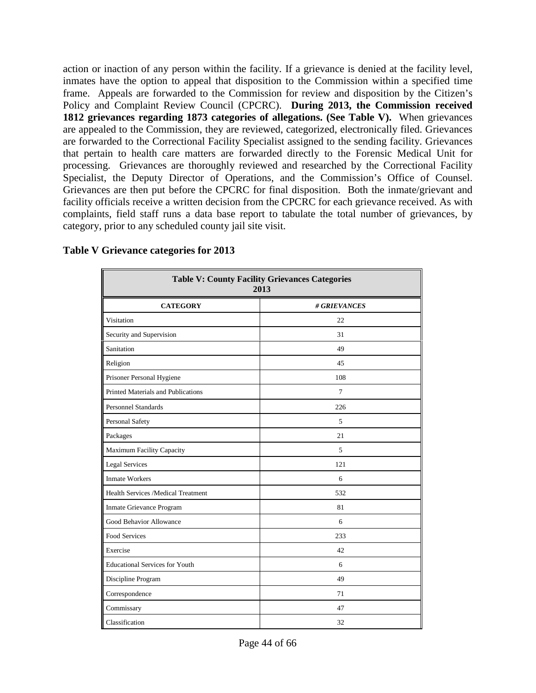action or inaction of any person within the facility. If a grievance is denied at the facility level, inmates have the option to appeal that disposition to the Commission within a specified time frame. Appeals are forwarded to the Commission for review and disposition by the Citizen's Policy and Complaint Review Council (CPCRC). **During 2013, the Commission received 1812 grievances regarding 1873 categories of allegations. (See Table V).** When grievances are appealed to the Commission, they are reviewed, categorized, electronically filed. Grievances are forwarded to the Correctional Facility Specialist assigned to the sending facility. Grievances that pertain to health care matters are forwarded directly to the Forensic Medical Unit for processing. Grievances are thoroughly reviewed and researched by the Correctional Facility Specialist, the Deputy Director of Operations, and the Commission's Office of Counsel. Grievances are then put before the CPCRC for final disposition. Both the inmate/grievant and facility officials receive a written decision from the CPCRC for each grievance received. As with complaints, field staff runs a data base report to tabulate the total number of grievances, by category, prior to any scheduled county jail site visit.

| <b>Table V: County Facility Grievances Categories</b><br>2013 |              |  |  |  |  |
|---------------------------------------------------------------|--------------|--|--|--|--|
| <b>CATEGORY</b>                                               | # GRIEVANCES |  |  |  |  |
| Visitation                                                    | 22           |  |  |  |  |
| Security and Supervision                                      | 31           |  |  |  |  |
| Sanitation                                                    | 49           |  |  |  |  |
| Religion                                                      | 45           |  |  |  |  |
| Prisoner Personal Hygiene                                     | 108          |  |  |  |  |
| <b>Printed Materials and Publications</b>                     | 7            |  |  |  |  |
| <b>Personnel Standards</b>                                    | 226          |  |  |  |  |
| Personal Safety                                               | 5            |  |  |  |  |
| Packages                                                      | 21           |  |  |  |  |
| Maximum Facility Capacity                                     | 5            |  |  |  |  |
| <b>Legal Services</b>                                         | 121          |  |  |  |  |
| <b>Inmate Workers</b>                                         | 6            |  |  |  |  |
| Health Services /Medical Treatment                            | 532          |  |  |  |  |
| Inmate Grievance Program                                      | 81           |  |  |  |  |
| Good Behavior Allowance                                       | 6            |  |  |  |  |
| <b>Food Services</b>                                          | 233          |  |  |  |  |
| Exercise                                                      | 42           |  |  |  |  |
| <b>Educational Services for Youth</b>                         | 6            |  |  |  |  |
| Discipline Program                                            | 49           |  |  |  |  |
| Correspondence                                                | 71           |  |  |  |  |
| Commissary                                                    | 47           |  |  |  |  |
| Classification                                                | 32           |  |  |  |  |

# **Table V Grievance categories for 2013**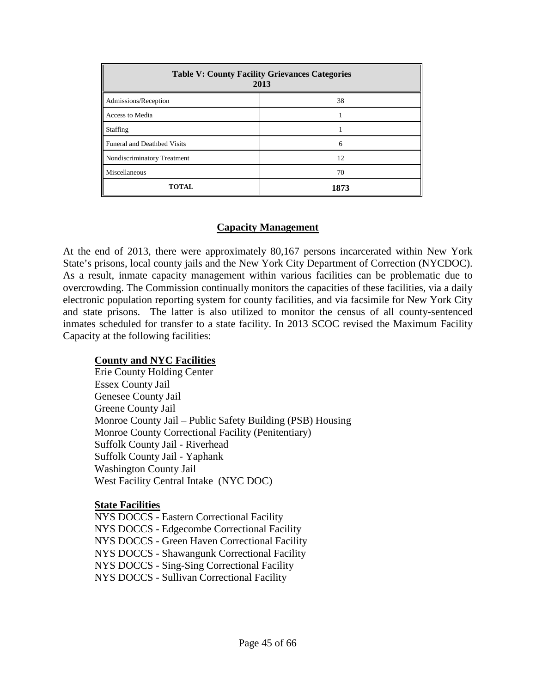| <b>Table V: County Facility Grievances Categories</b><br>2013 |      |  |  |  |
|---------------------------------------------------------------|------|--|--|--|
| Admissions/Reception                                          | 38   |  |  |  |
| Access to Media                                               |      |  |  |  |
| Staffing                                                      |      |  |  |  |
| Funeral and Deathbed Visits                                   | 6    |  |  |  |
| Nondiscriminatory Treatment                                   | 12   |  |  |  |
| Miscellaneous                                                 | 70   |  |  |  |
| <b>TOTAL</b>                                                  | 1873 |  |  |  |

# **Capacity Management**

At the end of 2013, there were approximately 80,167 persons incarcerated within New York State's prisons, local county jails and the New York City Department of Correction (NYCDOC). As a result, inmate capacity management within various facilities can be problematic due to overcrowding. The Commission continually monitors the capacities of these facilities, via a daily electronic population reporting system for county facilities, and via facsimile for New York City and state prisons. The latter is also utilized to monitor the census of all county-sentenced inmates scheduled for transfer to a state facility. In 2013 SCOC revised the Maximum Facility Capacity at the following facilities:

# **County and NYC Facilities**

Erie County Holding Center Essex County Jail Genesee County Jail Greene County Jail Monroe County Jail – Public Safety Building (PSB) Housing Monroe County Correctional Facility (Penitentiary) Suffolk County Jail - Riverhead Suffolk County Jail - Yaphank Washington County Jail West Facility Central Intake (NYC DOC)

# **State Facilities**

NYS DOCCS - Eastern Correctional Facility NYS DOCCS - Edgecombe Correctional Facility NYS DOCCS - Green Haven Correctional Facility NYS DOCCS - Shawangunk Correctional Facility NYS DOCCS - Sing-Sing Correctional Facility NYS DOCCS - Sullivan Correctional Facility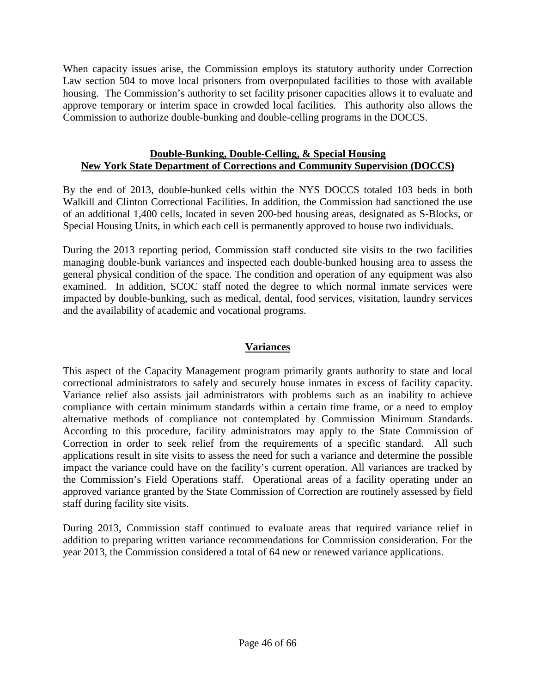When capacity issues arise, the Commission employs its statutory authority under Correction Law section 504 to move local prisoners from overpopulated facilities to those with available housing. The Commission's authority to set facility prisoner capacities allows it to evaluate and approve temporary or interim space in crowded local facilities. This authority also allows the Commission to authorize double-bunking and double-celling programs in the DOCCS.

# **Double-Bunking, Double-Celling, & Special Housing New York State Department of Corrections and Community Supervision (DOCCS)**

By the end of 2013, double-bunked cells within the NYS DOCCS totaled 103 beds in both Walkill and Clinton Correctional Facilities. In addition, the Commission had sanctioned the use of an additional 1,400 cells, located in seven 200-bed housing areas, designated as S-Blocks, or Special Housing Units, in which each cell is permanently approved to house two individuals.

During the 2013 reporting period, Commission staff conducted site visits to the two facilities managing double-bunk variances and inspected each double-bunked housing area to assess the general physical condition of the space. The condition and operation of any equipment was also examined. In addition, SCOC staff noted the degree to which normal inmate services were impacted by double-bunking, such as medical, dental, food services, visitation, laundry services and the availability of academic and vocational programs.

# **Variances**

This aspect of the Capacity Management program primarily grants authority to state and local correctional administrators to safely and securely house inmates in excess of facility capacity. Variance relief also assists jail administrators with problems such as an inability to achieve compliance with certain minimum standards within a certain time frame, or a need to employ alternative methods of compliance not contemplated by Commission Minimum Standards. According to this procedure, facility administrators may apply to the State Commission of Correction in order to seek relief from the requirements of a specific standard. All such applications result in site visits to assess the need for such a variance and determine the possible impact the variance could have on the facility's current operation. All variances are tracked by the Commission's Field Operations staff. Operational areas of a facility operating under an approved variance granted by the State Commission of Correction are routinely assessed by field staff during facility site visits.

During 2013, Commission staff continued to evaluate areas that required variance relief in addition to preparing written variance recommendations for Commission consideration. For the year 2013, the Commission considered a total of 64 new or renewed variance applications.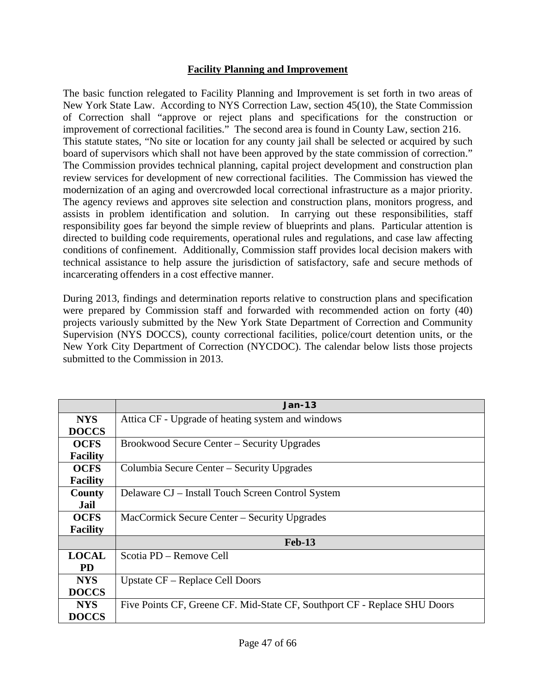# **Facility Planning and Improvement**

The basic function relegated to Facility Planning and Improvement is set forth in two areas of New York State Law. According to NYS Correction Law, section 45(10), the State Commission of Correction shall "approve or reject plans and specifications for the construction or improvement of correctional facilities." The second area is found in County Law, section 216. This statute states, "No site or location for any county jail shall be selected or acquired by such board of supervisors which shall not have been approved by the state commission of correction." The Commission provides technical planning, capital project development and construction plan review services for development of new correctional facilities. The Commission has viewed the modernization of an aging and overcrowded local correctional infrastructure as a major priority. The agency reviews and approves site selection and construction plans, monitors progress, and assists in problem identification and solution. In carrying out these responsibilities, staff responsibility goes far beyond the simple review of blueprints and plans. Particular attention is directed to building code requirements, operational rules and regulations, and case law affecting conditions of confinement. Additionally, Commission staff provides local decision makers with technical assistance to help assure the jurisdiction of satisfactory, safe and secure methods of incarcerating offenders in a cost effective manner.

During 2013, findings and determination reports relative to construction plans and specification were prepared by Commission staff and forwarded with recommended action on forty (40) projects variously submitted by the New York State Department of Correction and Community Supervision (NYS DOCCS), county correctional facilities, police/court detention units, or the New York City Department of Correction (NYCDOC). The calendar below lists those projects submitted to the Commission in 2013.

|                 | $Jan-13$                                                                  |  |  |  |  |
|-----------------|---------------------------------------------------------------------------|--|--|--|--|
| <b>NYS</b>      | Attica CF - Upgrade of heating system and windows                         |  |  |  |  |
| <b>DOCCS</b>    |                                                                           |  |  |  |  |
| <b>OCFS</b>     | Brookwood Secure Center – Security Upgrades                               |  |  |  |  |
| <b>Facility</b> |                                                                           |  |  |  |  |
| <b>OCFS</b>     | Columbia Secure Center – Security Upgrades                                |  |  |  |  |
| <b>Facility</b> |                                                                           |  |  |  |  |
| County          | Delaware CJ – Install Touch Screen Control System                         |  |  |  |  |
| Jail            |                                                                           |  |  |  |  |
| <b>OCFS</b>     | MacCormick Secure Center – Security Upgrades                              |  |  |  |  |
| <b>Facility</b> |                                                                           |  |  |  |  |
|                 | <b>Feb-13</b>                                                             |  |  |  |  |
| <b>LOCAL</b>    | Scotia PD – Remove Cell                                                   |  |  |  |  |
| <b>PD</b>       |                                                                           |  |  |  |  |
| <b>NYS</b>      | Upstate CF – Replace Cell Doors                                           |  |  |  |  |
| <b>DOCCS</b>    |                                                                           |  |  |  |  |
| <b>NYS</b>      | Five Points CF, Greene CF. Mid-State CF, Southport CF - Replace SHU Doors |  |  |  |  |
| <b>DOCCS</b>    |                                                                           |  |  |  |  |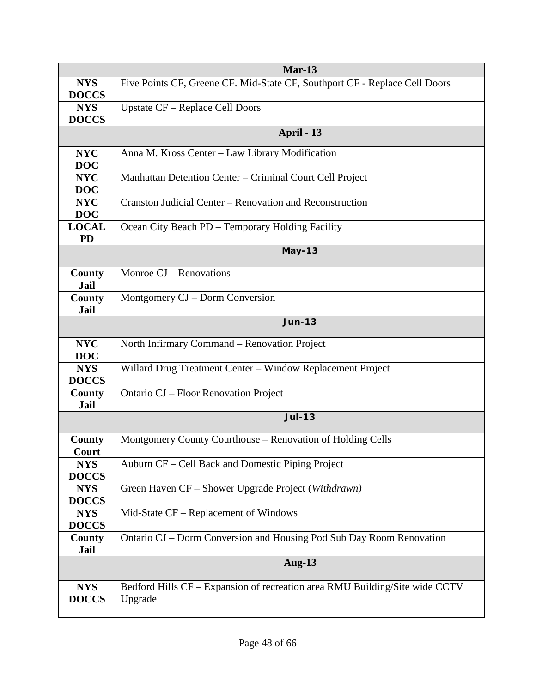|                            | $Mar-13$                                                                               |  |  |  |  |  |  |
|----------------------------|----------------------------------------------------------------------------------------|--|--|--|--|--|--|
| <b>NYS</b><br><b>DOCCS</b> | Five Points CF, Greene CF. Mid-State CF, Southport CF - Replace Cell Doors             |  |  |  |  |  |  |
| <b>NYS</b><br><b>DOCCS</b> | <b>Upstate CF - Replace Cell Doors</b>                                                 |  |  |  |  |  |  |
|                            | April - 13                                                                             |  |  |  |  |  |  |
| <b>NYC</b><br><b>DOC</b>   | Anna M. Kross Center - Law Library Modification                                        |  |  |  |  |  |  |
| <b>NYC</b><br><b>DOC</b>   | Manhattan Detention Center - Criminal Court Cell Project                               |  |  |  |  |  |  |
| <b>NYC</b><br><b>DOC</b>   | Cranston Judicial Center – Renovation and Reconstruction                               |  |  |  |  |  |  |
| <b>LOCAL</b><br><b>PD</b>  | Ocean City Beach PD - Temporary Holding Facility                                       |  |  |  |  |  |  |
|                            | <b>May-13</b>                                                                          |  |  |  |  |  |  |
| County<br><b>Jail</b>      | Monroe CJ - Renovations                                                                |  |  |  |  |  |  |
| County<br><b>Jail</b>      | Montgomery CJ – Dorm Conversion                                                        |  |  |  |  |  |  |
|                            | <b>Jun-13</b>                                                                          |  |  |  |  |  |  |
| <b>NYC</b><br><b>DOC</b>   | North Infirmary Command - Renovation Project                                           |  |  |  |  |  |  |
| <b>NYS</b><br><b>DOCCS</b> | Willard Drug Treatment Center - Window Replacement Project                             |  |  |  |  |  |  |
| County<br><b>Jail</b>      | Ontario CJ - Floor Renovation Project                                                  |  |  |  |  |  |  |
|                            | <b>Jul-13</b>                                                                          |  |  |  |  |  |  |
| County<br>Court            | Montgomery County Courthouse - Renovation of Holding Cells                             |  |  |  |  |  |  |
| <b>NYS</b><br><b>DOCCS</b> | Auburn CF – Cell Back and Domestic Piping Project                                      |  |  |  |  |  |  |
| <b>NYS</b><br><b>DOCCS</b> | Green Haven CF - Shower Upgrade Project (Withdrawn)                                    |  |  |  |  |  |  |
| <b>NYS</b><br><b>DOCCS</b> | Mid-State CF - Replacement of Windows                                                  |  |  |  |  |  |  |
| County<br>Jail             | Ontario CJ - Dorm Conversion and Housing Pod Sub Day Room Renovation                   |  |  |  |  |  |  |
|                            | <b>Aug-13</b>                                                                          |  |  |  |  |  |  |
| <b>NYS</b><br><b>DOCCS</b> | Bedford Hills CF - Expansion of recreation area RMU Building/Site wide CCTV<br>Upgrade |  |  |  |  |  |  |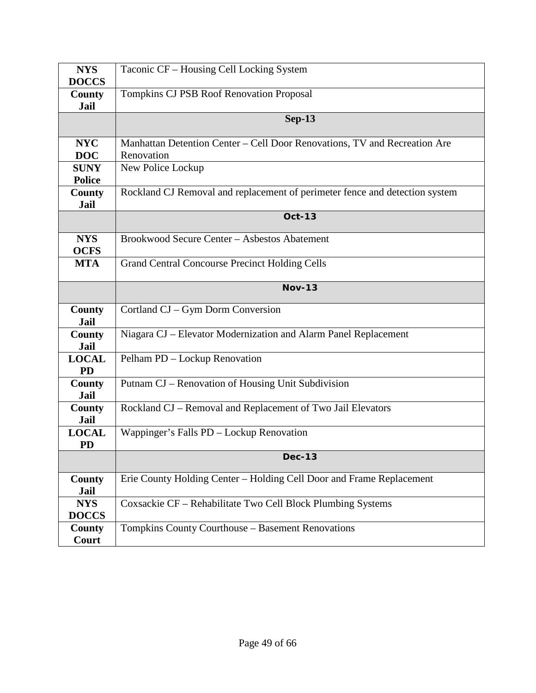| <b>NYS</b>            | Taconic CF - Housing Cell Locking System                                    |  |  |  |  |  |
|-----------------------|-----------------------------------------------------------------------------|--|--|--|--|--|
| <b>DOCCS</b>          |                                                                             |  |  |  |  |  |
| County<br><b>Jail</b> | <b>Tompkins CJ PSB Roof Renovation Proposal</b>                             |  |  |  |  |  |
|                       | <b>Sep-13</b>                                                               |  |  |  |  |  |
|                       |                                                                             |  |  |  |  |  |
| <b>NYC</b>            | Manhattan Detention Center - Cell Door Renovations, TV and Recreation Are   |  |  |  |  |  |
| <b>DOC</b>            | Renovation                                                                  |  |  |  |  |  |
| <b>SUNY</b>           | New Police Lockup                                                           |  |  |  |  |  |
| <b>Police</b>         |                                                                             |  |  |  |  |  |
| County                | Rockland CJ Removal and replacement of perimeter fence and detection system |  |  |  |  |  |
| <b>Jail</b>           |                                                                             |  |  |  |  |  |
|                       | <b>Oct-13</b>                                                               |  |  |  |  |  |
| <b>NYS</b>            | Brookwood Secure Center - Asbestos Abatement                                |  |  |  |  |  |
| <b>OCFS</b>           |                                                                             |  |  |  |  |  |
| <b>MTA</b>            | <b>Grand Central Concourse Precinct Holding Cells</b>                       |  |  |  |  |  |
|                       | <b>Nov-13</b>                                                               |  |  |  |  |  |
| <b>County</b>         | Cortland CJ - Gym Dorm Conversion                                           |  |  |  |  |  |
| <b>Jail</b>           |                                                                             |  |  |  |  |  |
| <b>County</b>         | Niagara CJ - Elevator Modernization and Alarm Panel Replacement             |  |  |  |  |  |
| Jail                  |                                                                             |  |  |  |  |  |
| <b>LOCAL</b>          | Pelham PD - Lockup Renovation                                               |  |  |  |  |  |
| <b>PD</b>             |                                                                             |  |  |  |  |  |
| <b>County</b>         | Putnam CJ – Renovation of Housing Unit Subdivision                          |  |  |  |  |  |
| <b>Jail</b><br>County | Rockland CJ - Removal and Replacement of Two Jail Elevators                 |  |  |  |  |  |
| Jail                  |                                                                             |  |  |  |  |  |
| <b>LOCAL</b>          | Wappinger's Falls PD - Lockup Renovation                                    |  |  |  |  |  |
| <b>PD</b>             |                                                                             |  |  |  |  |  |
|                       | <b>Dec-13</b>                                                               |  |  |  |  |  |
| County                | Erie County Holding Center - Holding Cell Door and Frame Replacement        |  |  |  |  |  |
| Jail                  |                                                                             |  |  |  |  |  |
|                       |                                                                             |  |  |  |  |  |
| <b>NYS</b>            | Coxsackie CF - Rehabilitate Two Cell Block Plumbing Systems                 |  |  |  |  |  |
| <b>DOCCS</b>          |                                                                             |  |  |  |  |  |
| County<br>Court       | Tompkins County Courthouse - Basement Renovations                           |  |  |  |  |  |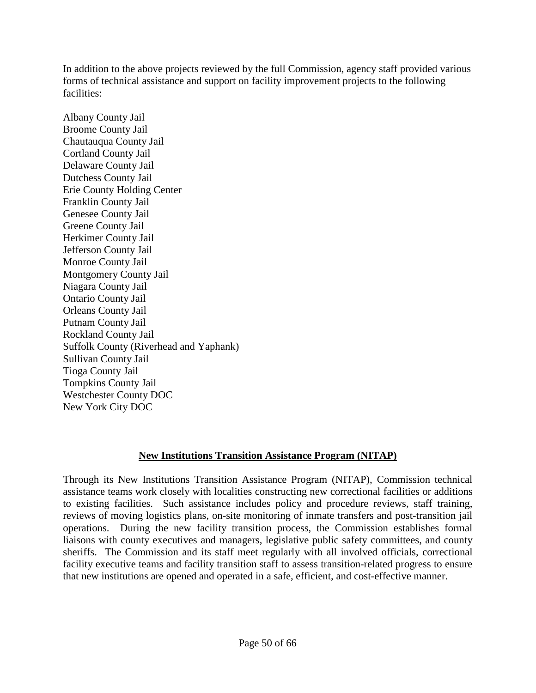In addition to the above projects reviewed by the full Commission, agency staff provided various forms of technical assistance and support on facility improvement projects to the following facilities:

Albany County Jail Broome County Jail Chautauqua County Jail Cortland County Jail Delaware County Jail Dutchess County Jail Erie County Holding Center Franklin County Jail Genesee County Jail Greene County Jail Herkimer County Jail Jefferson County Jail Monroe County Jail Montgomery County Jail Niagara County Jail Ontario County Jail Orleans County Jail Putnam County Jail Rockland County Jail Suffolk County (Riverhead and Yaphank) Sullivan County Jail Tioga County Jail Tompkins County Jail Westchester County DOC New York City DOC

# **New Institutions Transition Assistance Program (NITAP)**

Through its New Institutions Transition Assistance Program (NITAP), Commission technical assistance teams work closely with localities constructing new correctional facilities or additions to existing facilities. Such assistance includes policy and procedure reviews, staff training, reviews of moving logistics plans, on-site monitoring of inmate transfers and post-transition jail operations. During the new facility transition process, the Commission establishes formal liaisons with county executives and managers, legislative public safety committees, and county sheriffs. The Commission and its staff meet regularly with all involved officials, correctional facility executive teams and facility transition staff to assess transition-related progress to ensure that new institutions are opened and operated in a safe, efficient, and cost-effective manner.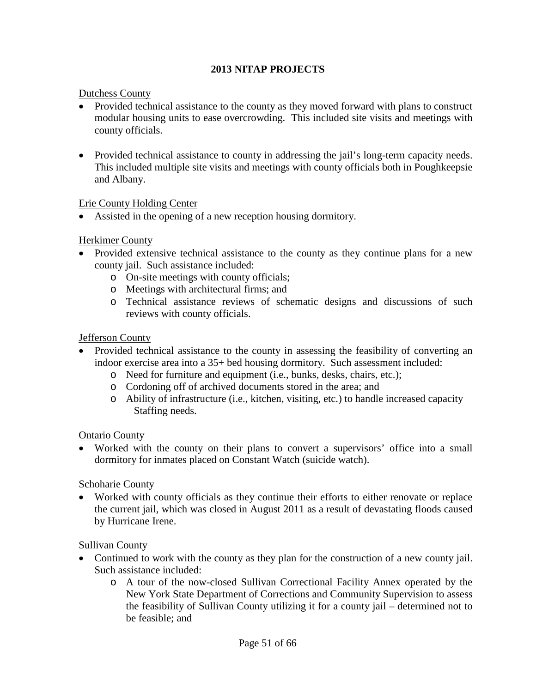# **2013 NITAP PROJECTS**

# Dutchess County

- Provided technical assistance to the county as they moved forward with plans to construct modular housing units to ease overcrowding. This included site visits and meetings with county officials.
- Provided technical assistance to county in addressing the jail's long-term capacity needs. This included multiple site visits and meetings with county officials both in Poughkeepsie and Albany.

# Erie County Holding Center

• Assisted in the opening of a new reception housing dormitory.

# Herkimer County

- Provided extensive technical assistance to the county as they continue plans for a new county jail. Such assistance included:
	- o On-site meetings with county officials;
	- o Meetings with architectural firms; and
	- o Technical assistance reviews of schematic designs and discussions of such reviews with county officials.

# Jefferson County

- Provided technical assistance to the county in assessing the feasibility of converting an indoor exercise area into a 35+ bed housing dormitory. Such assessment included:
	- o Need for furniture and equipment (i.e., bunks, desks, chairs, etc.);
	- o Cordoning off of archived documents stored in the area; and
	- o Ability of infrastructure (i.e., kitchen, visiting, etc.) to handle increased capacity Staffing needs.

# Ontario County

• Worked with the county on their plans to convert a supervisors' office into a small dormitory for inmates placed on Constant Watch (suicide watch).

# Schoharie County

• Worked with county officials as they continue their efforts to either renovate or replace the current jail, which was closed in August 2011 as a result of devastating floods caused by Hurricane Irene.

# Sullivan County

- Continued to work with the county as they plan for the construction of a new county jail. Such assistance included:
	- o A tour of the now-closed Sullivan Correctional Facility Annex operated by the New York State Department of Corrections and Community Supervision to assess the feasibility of Sullivan County utilizing it for a county jail – determined not to be feasible; and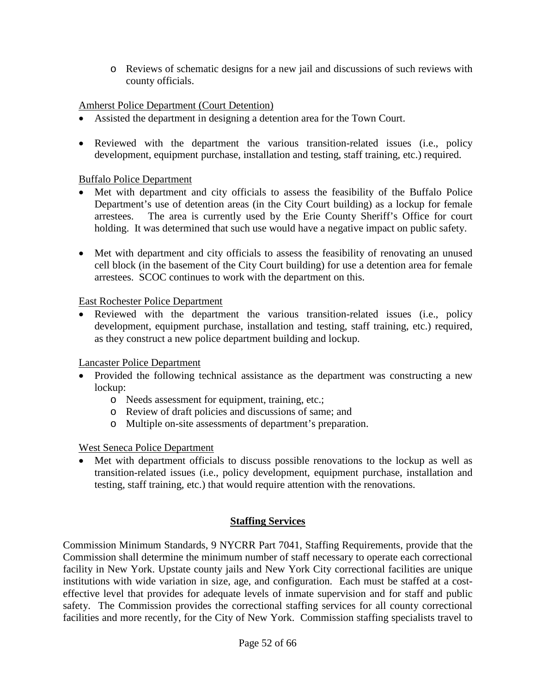o Reviews of schematic designs for a new jail and discussions of such reviews with county officials.

# Amherst Police Department (Court Detention)

- Assisted the department in designing a detention area for the Town Court.
- Reviewed with the department the various transition-related issues (i.e., policy development, equipment purchase, installation and testing, staff training, etc.) required.

# Buffalo Police Department

- Met with department and city officials to assess the feasibility of the Buffalo Police Department's use of detention areas (in the City Court building) as a lockup for female arrestees. The area is currently used by the Erie County Sheriff's Office for court holding. It was determined that such use would have a negative impact on public safety.
- Met with department and city officials to assess the feasibility of renovating an unused cell block (in the basement of the City Court building) for use a detention area for female arrestees. SCOC continues to work with the department on this.

East Rochester Police Department

• Reviewed with the department the various transition-related issues (i.e., policy development, equipment purchase, installation and testing, staff training, etc.) required, as they construct a new police department building and lockup.

Lancaster Police Department

- Provided the following technical assistance as the department was constructing a new lockup:
	- o Needs assessment for equipment, training, etc.;
	- o Review of draft policies and discussions of same; and
	- o Multiple on-site assessments of department's preparation.

# West Seneca Police Department

• Met with department officials to discuss possible renovations to the lockup as well as transition-related issues (i.e., policy development, equipment purchase, installation and testing, staff training, etc.) that would require attention with the renovations.

# **Staffing Services**

Commission Minimum Standards, 9 NYCRR Part 7041, Staffing Requirements, provide that the Commission shall determine the minimum number of staff necessary to operate each correctional facility in New York. Upstate county jails and New York City correctional facilities are unique institutions with wide variation in size, age, and configuration. Each must be staffed at a costeffective level that provides for adequate levels of inmate supervision and for staff and public safety. The Commission provides the correctional staffing services for all county correctional facilities and more recently, for the City of New York. Commission staffing specialists travel to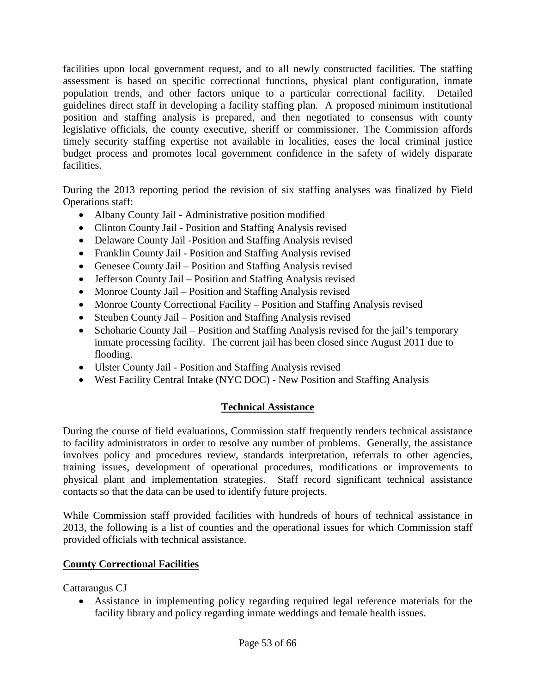facilities upon local government request, and to all newly constructed facilities. The staffing assessment is based on specific correctional functions, physical plant configuration, inmate population trends, and other factors unique to a particular correctional facility. Detailed guidelines direct staff in developing a facility staffing plan. A proposed minimum institutional position and staffing analysis is prepared, and then negotiated to consensus with county legislative officials, the county executive, sheriff or commissioner. The Commission affords timely security staffing expertise not available in localities, eases the local criminal justice budget process and promotes local government confidence in the safety of widely disparate facilities.

During the 2013 reporting period the revision of six staffing analyses was finalized by Field Operations staff:

- Albany County Jail Administrative position modified
- Clinton County Jail Position and Staffing Analysis revised
- Delaware County Jail -Position and Staffing Analysis revised
- Franklin County Jail Position and Staffing Analysis revised
- Genesee County Jail Position and Staffing Analysis revised
- Jefferson County Jail Position and Staffing Analysis revised
- Monroe County Jail Position and Staffing Analysis revised
- Monroe County Correctional Facility Position and Staffing Analysis revised
- Steuben County Jail Position and Staffing Analysis revised
- Schoharie County Jail Position and Staffing Analysis revised for the jail's temporary inmate processing facility. The current jail has been closed since August 2011 due to flooding.
- Ulster County Jail Position and Staffing Analysis revised
- West Facility Central Intake (NYC DOC) New Position and Staffing Analysis

# **Technical Assistance**

During the course of field evaluations, Commission staff frequently renders technical assistance to facility administrators in order to resolve any number of problems. Generally, the assistance involves policy and procedures review, standards interpretation, referrals to other agencies, training issues, development of operational procedures, modifications or improvements to physical plant and implementation strategies. Staff record significant technical assistance contacts so that the data can be used to identify future projects.

While Commission staff provided facilities with hundreds of hours of technical assistance in 2013, the following is a list of counties and the operational issues for which Commission staff provided officials with technical assistance.

# **County Correctional Facilities**

# Cattaraugus CJ

Assistance in implementing policy regarding required legal reference materials for the facility library and policy regarding inmate weddings and female health issues.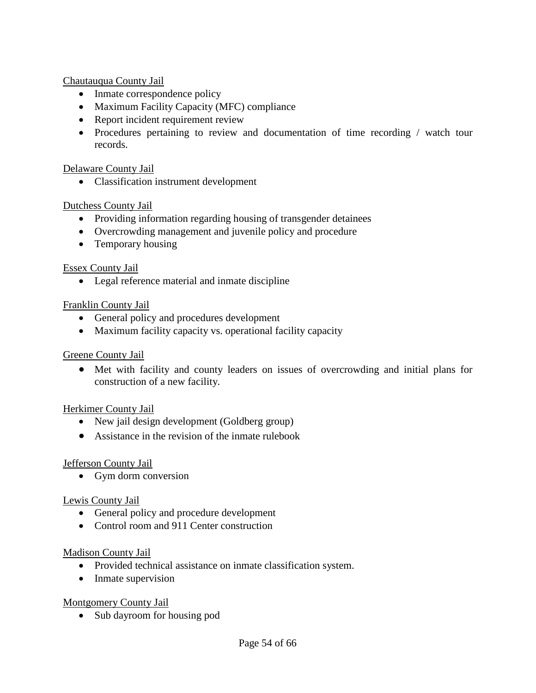Chautauqua County Jail

- Inmate correspondence policy
- Maximum Facility Capacity (MFC) compliance
- Report incident requirement review
- Procedures pertaining to review and documentation of time recording / watch tour records.

# Delaware County Jail

• Classification instrument development

# Dutchess County Jail

- Providing information regarding housing of transgender detainees
- Overcrowding management and juvenile policy and procedure
- Temporary housing

# Essex County Jail

• Legal reference material and inmate discipline

# Franklin County Jail

- General policy and procedures development
- Maximum facility capacity vs. operational facility capacity

# Greene County Jail

• Met with facility and county leaders on issues of overcrowding and initial plans for construction of a new facility.

# Herkimer County Jail

- New jail design development (Goldberg group)
- Assistance in the revision of the inmate rulebook

# Jefferson County Jail

• Gym dorm conversion

# Lewis County Jail

- General policy and procedure development
- Control room and 911 Center construction

# Madison County Jail

- Provided technical assistance on inmate classification system.
- Inmate supervision

# Montgomery County Jail

• Sub dayroom for housing pod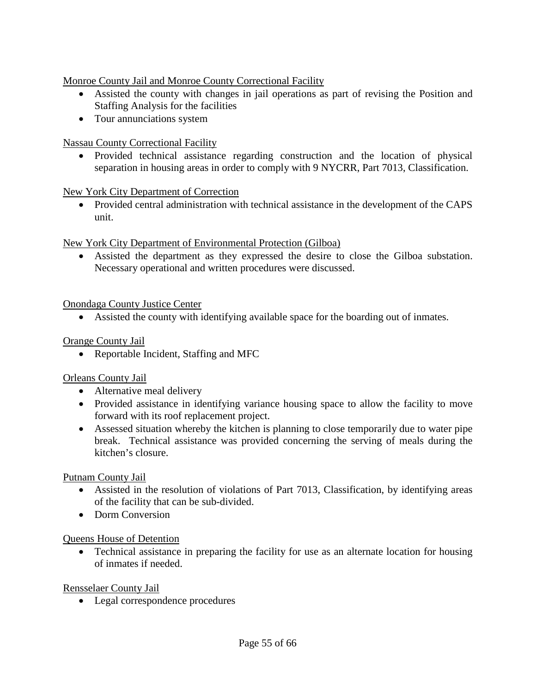Monroe County Jail and Monroe County Correctional Facility

- Assisted the county with changes in jail operations as part of revising the Position and Staffing Analysis for the facilities
- Tour annunciations system

Nassau County Correctional Facility

• Provided technical assistance regarding construction and the location of physical separation in housing areas in order to comply with 9 NYCRR, Part 7013, Classification.

# New York City Department of Correction

• Provided central administration with technical assistance in the development of the CAPS unit.

New York City Department of Environmental Protection (Gilboa)

• Assisted the department as they expressed the desire to close the Gilboa substation. Necessary operational and written procedures were discussed.

# Onondaga County Justice Center

• Assisted the county with identifying available space for the boarding out of inmates.

# Orange County Jail

• Reportable Incident, Staffing and MFC

# Orleans County Jail

- Alternative meal delivery
- Provided assistance in identifying variance housing space to allow the facility to move forward with its roof replacement project.
- Assessed situation whereby the kitchen is planning to close temporarily due to water pipe break. Technical assistance was provided concerning the serving of meals during the kitchen's closure.

# Putnam County Jail

- Assisted in the resolution of violations of Part 7013, Classification, by identifying areas of the facility that can be sub-divided.
- Dorm Conversion

# Queens House of Detention

• Technical assistance in preparing the facility for use as an alternate location for housing of inmates if needed.

# Rensselaer County Jail

• Legal correspondence procedures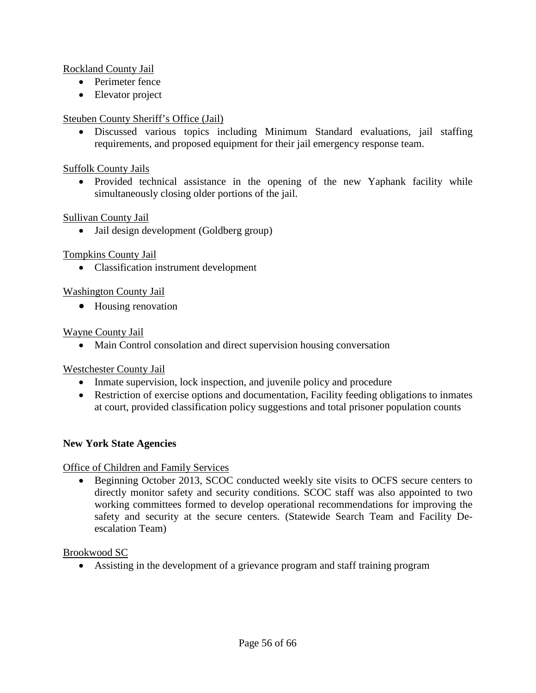# Rockland County Jail

- Perimeter fence
- Elevator project

# Steuben County Sheriff's Office (Jail)

• Discussed various topics including Minimum Standard evaluations, jail staffing requirements, and proposed equipment for their jail emergency response team.

# Suffolk County Jails

• Provided technical assistance in the opening of the new Yaphank facility while simultaneously closing older portions of the jail.

# Sullivan County Jail

• Jail design development (Goldberg group)

# Tompkins County Jail

• Classification instrument development

# Washington County Jail

• Housing renovation

# Wayne County Jail

• Main Control consolation and direct supervision housing conversation

# Westchester County Jail

- Inmate supervision, lock inspection, and juvenile policy and procedure
- Restriction of exercise options and documentation, Facility feeding obligations to inmates at court, provided classification policy suggestions and total prisoner population counts

# **New York State Agencies**

# Office of Children and Family Services

• Beginning October 2013, SCOC conducted weekly site visits to OCFS secure centers to directly monitor safety and security conditions. SCOC staff was also appointed to two working committees formed to develop operational recommendations for improving the safety and security at the secure centers. (Statewide Search Team and Facility Deescalation Team)

# Brookwood SC

• Assisting in the development of a grievance program and staff training program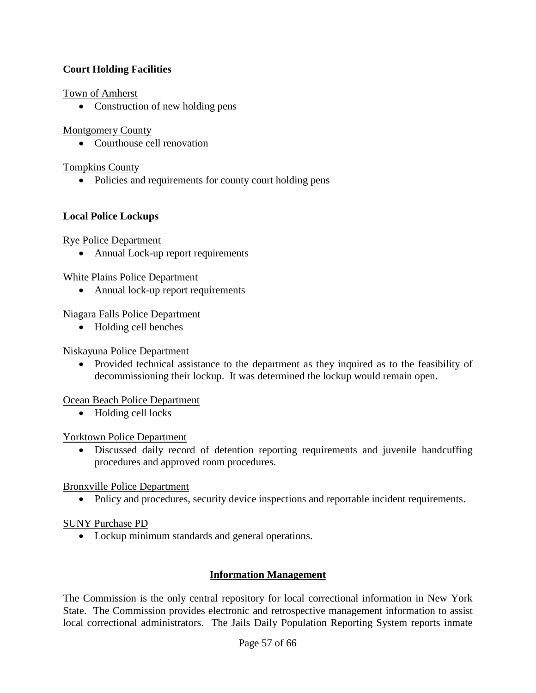# **Court Holding Facilities**

# Town of Amherst

• Construction of new holding pens

# Montgomery County

• Courthouse cell renovation

# Tompkins County

• Policies and requirements for county court holding pens

# **Local Police Lockups**

# Rye Police Department

• Annual Lock-up report requirements

# White Plains Police Department

• Annual lock-up report requirements

# Niagara Falls Police Department

• Holding cell benches

# Niskayuna Police Department

• Provided technical assistance to the department as they inquired as to the feasibility of decommissioning their lockup. It was determined the lockup would remain open.

# Ocean Beach Police Department

• Holding cell locks

# Yorktown Police Department

• Discussed daily record of detention reporting requirements and juvenile handcuffing procedures and approved room procedures.

# Bronxville Police Department

• Policy and procedures, security device inspections and reportable incident requirements.

# SUNY Purchase PD

• Lockup minimum standards and general operations.

# **Information Management**

The Commission is the only central repository for local correctional information in New York State. The Commission provides electronic and retrospective management information to assist local correctional administrators. The Jails Daily Population Reporting System reports inmate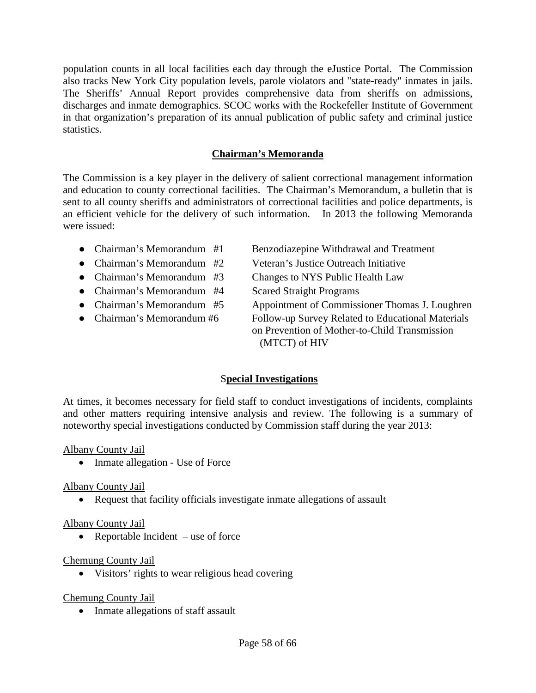population counts in all local facilities each day through the eJustice Portal. The Commission also tracks New York City population levels, parole violators and "state-ready" inmates in jails. The Sheriffs' Annual Report provides comprehensive data from sheriffs on admissions, discharges and inmate demographics. SCOC works with the Rockefeller Institute of Government in that organization's preparation of its annual publication of public safety and criminal justice statistics.

# **Chairman's Memoranda**

The Commission is a key player in the delivery of salient correctional management information and education to county correctional facilities. The Chairman's Memorandum, a bulletin that is sent to all county sheriffs and administrators of correctional facilities and police departments, is an efficient vehicle for the delivery of such information. In 2013 the following Memoranda were issued:

- Chairman's Memorandum #1 Benzodiazepine Withdrawal and Treatment
- 
- 
- Chairman's Memorandum #4 Scared Straight Programs
- 
- 

● Chairman's Memorandum #2 Veteran's Justice Outreach Initiative • Chairman's Memorandum #3 Changes to NYS Public Health Law ● Chairman's Memorandum #5 Appointment of Commissioner Thomas J. Loughren • Chairman's Memorandum #6 Follow-up Survey Related to Educational Materials on Prevention of Mother-to-Child Transmission (MTCT) of HIV

# S**pecial Investigations**

At times, it becomes necessary for field staff to conduct investigations of incidents, complaints and other matters requiring intensive analysis and review. The following is a summary of noteworthy special investigations conducted by Commission staff during the year 2013:

# Albany County Jail

• Inmate allegation - Use of Force

# Albany County Jail

• Request that facility officials investigate inmate allegations of assault

# Albany County Jail

• Reportable Incident – use of force

# Chemung County Jail

• Visitors' rights to wear religious head covering

# Chemung County Jail

• Inmate allegations of staff assault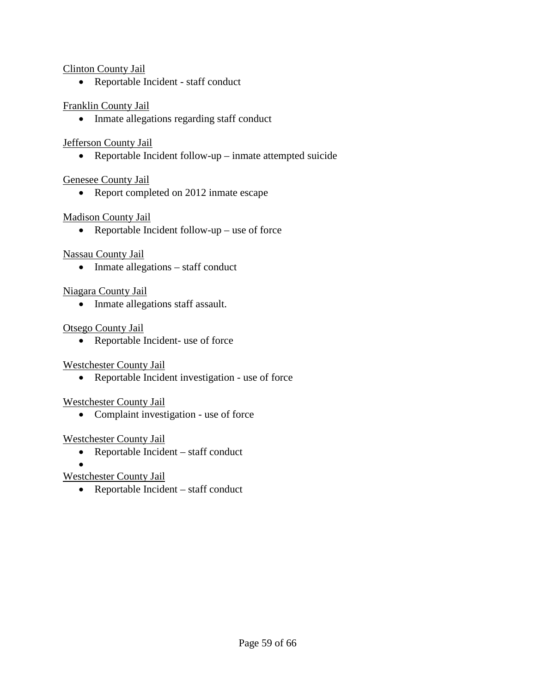# Clinton County Jail

• Reportable Incident - staff conduct

# Franklin County Jail

• Inmate allegations regarding staff conduct

# Jefferson County Jail

• Reportable Incident follow-up – inmate attempted suicide

# Genesee County Jail

• Report completed on 2012 inmate escape

# Madison County Jail

• Reportable Incident follow-up – use of force

# Nassau County Jail

• Inmate allegations – staff conduct

# Niagara County Jail

• Inmate allegations staff assault.

# Otsego County Jail

• Reportable Incident- use of force

# Westchester County Jail

• Reportable Incident investigation - use of force

# Westchester County Jail

• Complaint investigation - use of force

# Westchester County Jail

- Reportable Incident staff conduct
- •

# Westchester County Jail

• Reportable Incident – staff conduct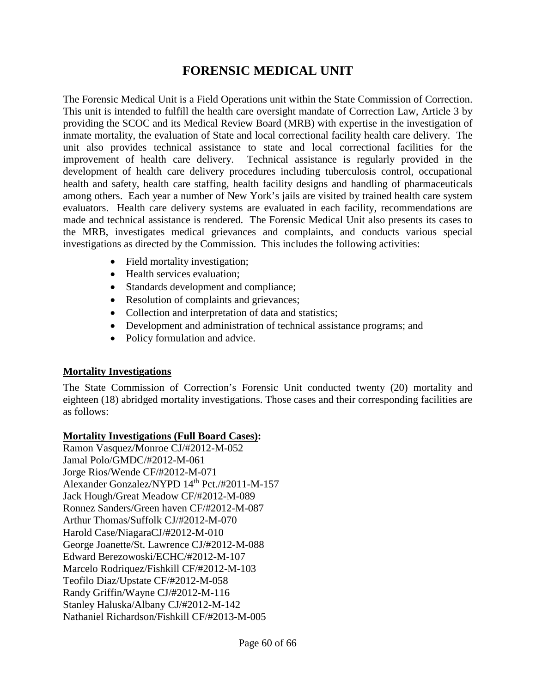# **FORENSIC MEDICAL UNIT**

The Forensic Medical Unit is a Field Operations unit within the State Commission of Correction. This unit is intended to fulfill the health care oversight mandate of Correction Law, Article 3 by providing the SCOC and its Medical Review Board (MRB) with expertise in the investigation of inmate mortality, the evaluation of State and local correctional facility health care delivery. The unit also provides technical assistance to state and local correctional facilities for the improvement of health care delivery. Technical assistance is regularly provided in the development of health care delivery procedures including tuberculosis control, occupational health and safety, health care staffing, health facility designs and handling of pharmaceuticals among others. Each year a number of New York's jails are visited by trained health care system evaluators. Health care delivery systems are evaluated in each facility, recommendations are made and technical assistance is rendered. The Forensic Medical Unit also presents its cases to the MRB, investigates medical grievances and complaints, and conducts various special investigations as directed by the Commission. This includes the following activities:

- Field mortality investigation;
- Health services evaluation;
- Standards development and compliance;
- Resolution of complaints and grievances;
- Collection and interpretation of data and statistics;
- Development and administration of technical assistance programs; and
- Policy formulation and advice.

# **Mortality Investigations**

The State Commission of Correction's Forensic Unit conducted twenty (20) mortality and eighteen (18) abridged mortality investigations. Those cases and their corresponding facilities are as follows:

# **Mortality Investigations (Full Board Cases):**

Ramon Vasquez/Monroe CJ/#2012-M-052 Jamal Polo/GMDC/#2012-M-061 Jorge Rios/Wende CF/#2012-M-071 Alexander Gonzalez/NYPD 14<sup>th</sup> Pct./#2011-M-157 Jack Hough/Great Meadow CF/#2012-M-089 Ronnez Sanders/Green haven CF/#2012-M-087 Arthur Thomas/Suffolk CJ/#2012-M-070 Harold Case/NiagaraCJ/#2012-M-010 George Joanette/St. Lawrence CJ/#2012-M-088 Edward Berezowoski/ECHC/#2012-M-107 Marcelo Rodriquez/Fishkill CF/#2012-M-103 Teofilo Diaz/Upstate CF/#2012-M-058 Randy Griffin/Wayne CJ/#2012-M-116 Stanley Haluska/Albany CJ/#2012-M-142 Nathaniel Richardson/Fishkill CF/#2013-M-005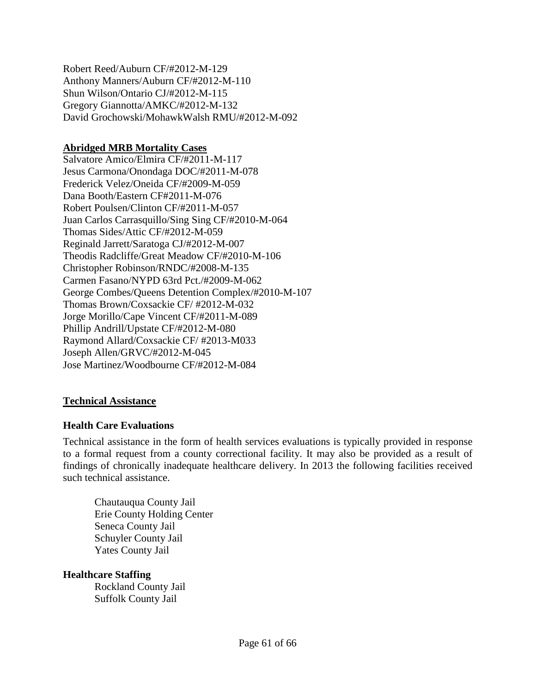Robert Reed/Auburn CF/#2012-M-129 Anthony Manners/Auburn CF/#2012-M-110 Shun Wilson/Ontario CJ/#2012-M-115 Gregory Giannotta/AMKC/#2012-M-132 David Grochowski/MohawkWalsh RMU/#2012-M-092

# **Abridged MRB Mortality Cases**

Salvatore Amico/Elmira CF/#2011-M-117 Jesus Carmona/Onondaga DOC/#2011-M-078 Frederick Velez/Oneida CF/#2009-M-059 Dana Booth/Eastern CF#2011-M-076 Robert Poulsen/Clinton CF/#2011-M-057 Juan Carlos Carrasquillo/Sing Sing CF/#2010-M-064 Thomas Sides/Attic CF/#2012-M-059 Reginald Jarrett/Saratoga CJ/#2012-M-007 Theodis Radcliffe/Great Meadow CF/#2010-M-106 Christopher Robinson/RNDC/#2008-M-135 Carmen Fasano/NYPD 63rd Pct./#2009-M-062 George Combes/Queens Detention Complex/#2010-M-107 Thomas Brown/Coxsackie CF/ #2012-M-032 Jorge Morillo/Cape Vincent CF/#2011-M-089 Phillip Andrill/Upstate CF/#2012-M-080 Raymond Allard/Coxsackie CF/ #2013-M033 Joseph Allen/GRVC/#2012-M-045 Jose Martinez/Woodbourne CF/#2012-M-084

# **Technical Assistance**

# **Health Care Evaluations**

Technical assistance in the form of health services evaluations is typically provided in response to a formal request from a county correctional facility. It may also be provided as a result of findings of chronically inadequate healthcare delivery. In 2013 the following facilities received such technical assistance.

Chautauqua County Jail Erie County Holding Center Seneca County Jail Schuyler County Jail Yates County Jail

# **Healthcare Staffing**

Rockland County Jail Suffolk County Jail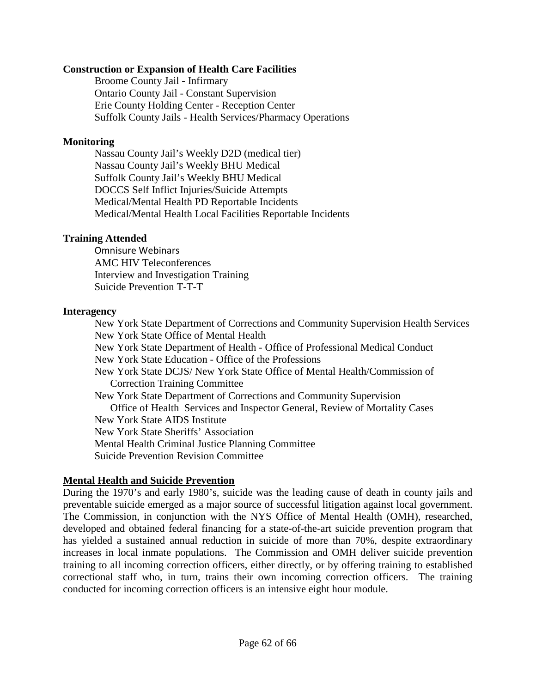# **Construction or Expansion of Health Care Facilities**

Broome County Jail - Infirmary Ontario County Jail - Constant Supervision Erie County Holding Center - Reception Center Suffolk County Jails - Health Services/Pharmacy Operations

# **Monitoring**

Nassau County Jail's Weekly D2D (medical tier) Nassau County Jail's Weekly BHU Medical Suffolk County Jail's Weekly BHU Medical DOCCS Self Inflict Injuries/Suicide Attempts Medical/Mental Health PD Reportable Incidents Medical/Mental Health Local Facilities Reportable Incidents

# **Training Attended**

Omnisure Webinars AMC HIV Teleconferences Interview and Investigation Training Suicide Prevention T-T-T

# **Interagency**

New York State Department of Corrections and Community Supervision Health Services New York State Office of Mental Health New York State Department of Health - Office of Professional Medical Conduct New York State Education - Office of the Professions New York State DCJS/ New York State Office of Mental Health/Commission of Correction Training Committee New York State Department of Corrections and Community Supervision Office of Health Services and Inspector General, Review of Mortality Cases New York State AIDS Institute New York State Sheriffs' Association Mental Health Criminal Justice Planning Committee Suicide Prevention Revision Committee

# **Mental Health and Suicide Prevention**

During the 1970's and early 1980's, suicide was the leading cause of death in county jails and preventable suicide emerged as a major source of successful litigation against local government. The Commission, in conjunction with the NYS Office of Mental Health (OMH), researched, developed and obtained federal financing for a state-of-the-art suicide prevention program that has yielded a sustained annual reduction in suicide of more than 70%, despite extraordinary increases in local inmate populations. The Commission and OMH deliver suicide prevention training to all incoming correction officers, either directly, or by offering training to established correctional staff who, in turn, trains their own incoming correction officers. The training conducted for incoming correction officers is an intensive eight hour module.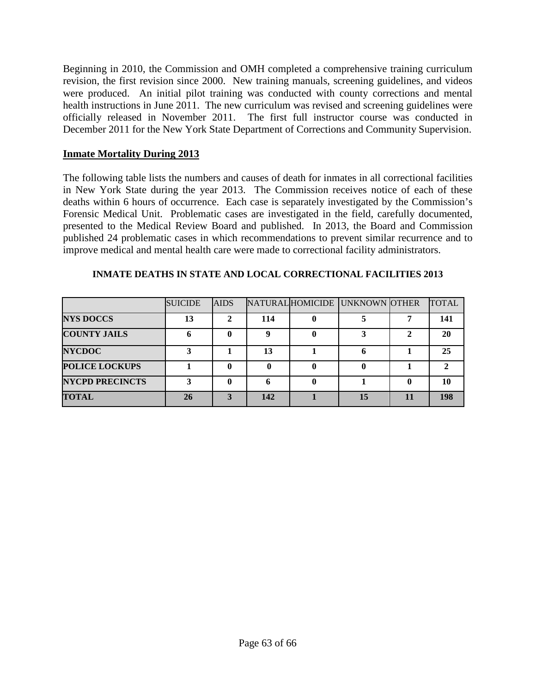Beginning in 2010, the Commission and OMH completed a comprehensive training curriculum revision, the first revision since 2000. New training manuals, screening guidelines, and videos were produced. An initial pilot training was conducted with county corrections and mental health instructions in June 2011. The new curriculum was revised and screening guidelines were officially released in November 2011. The first full instructor course was conducted in December 2011 for the New York State Department of Corrections and Community Supervision.

# **Inmate Mortality During 2013**

The following table lists the numbers and causes of death for inmates in all correctional facilities in New York State during the year 2013. The Commission receives notice of each of these deaths within 6 hours of occurrence. Each case is separately investigated by the Commission's Forensic Medical Unit. Problematic cases are investigated in the field, carefully documented, presented to the Medical Review Board and published. In 2013, the Board and Commission published 24 problematic cases in which recommendations to prevent similar recurrence and to improve medical and mental health care were made to correctional facility administrators.

|                        | <b>SUICIDE</b> | <b>AIDS</b> |     | NATURAL HOMICIDE UNKNOWN OTHER |   | <b>TOTAL</b> |
|------------------------|----------------|-------------|-----|--------------------------------|---|--------------|
| <b>NYS DOCCS</b>       | 13             |             | 114 |                                |   | 141          |
| <b>COUNTY JAILS</b>    |                |             | Q   |                                | າ | 20           |
| <b>NYCDOC</b>          |                |             | 13  |                                |   | 25           |
| <b>POLICE LOCKUPS</b>  |                |             |     |                                |   |              |
| <b>NYCPD PRECINCTS</b> |                |             | O   |                                |   | 10           |
| <b>TOTAL</b>           | 26             |             | 142 | 15                             |   | 198          |

#### **INMATE DEATHS IN STATE AND LOCAL CORRECTIONAL FACILITIES 2013**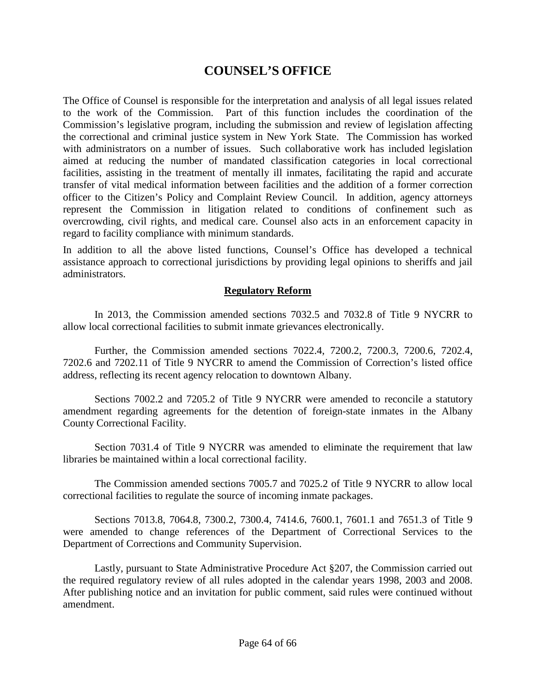# **COUNSEL'S OFFICE**

The Office of Counsel is responsible for the interpretation and analysis of all legal issues related to the work of the Commission. Part of this function includes the coordination of the Commission's legislative program, including the submission and review of legislation affecting the correctional and criminal justice system in New York State. The Commission has worked with administrators on a number of issues. Such collaborative work has included legislation aimed at reducing the number of mandated classification categories in local correctional facilities, assisting in the treatment of mentally ill inmates, facilitating the rapid and accurate transfer of vital medical information between facilities and the addition of a former correction officer to the Citizen's Policy and Complaint Review Council. In addition, agency attorneys represent the Commission in litigation related to conditions of confinement such as overcrowding, civil rights, and medical care. Counsel also acts in an enforcement capacity in regard to facility compliance with minimum standards.

In addition to all the above listed functions, Counsel's Office has developed a technical assistance approach to correctional jurisdictions by providing legal opinions to sheriffs and jail administrators.

# **Regulatory Reform**

In 2013, the Commission amended sections 7032.5 and 7032.8 of Title 9 NYCRR to allow local correctional facilities to submit inmate grievances electronically.

Further, the Commission amended sections 7022.4, 7200.2, 7200.3, 7200.6, 7202.4, 7202.6 and 7202.11 of Title 9 NYCRR to amend the Commission of Correction's listed office address, reflecting its recent agency relocation to downtown Albany.

Sections 7002.2 and 7205.2 of Title 9 NYCRR were amended to reconcile a statutory amendment regarding agreements for the detention of foreign-state inmates in the Albany County Correctional Facility.

Section 7031.4 of Title 9 NYCRR was amended to eliminate the requirement that law libraries be maintained within a local correctional facility.

The Commission amended sections 7005.7 and 7025.2 of Title 9 NYCRR to allow local correctional facilities to regulate the source of incoming inmate packages.

Sections 7013.8, 7064.8, 7300.2, 7300.4, 7414.6, 7600.1, 7601.1 and 7651.3 of Title 9 were amended to change references of the Department of Correctional Services to the Department of Corrections and Community Supervision.

Lastly, pursuant to State Administrative Procedure Act §207, the Commission carried out the required regulatory review of all rules adopted in the calendar years 1998, 2003 and 2008. After publishing notice and an invitation for public comment, said rules were continued without amendment.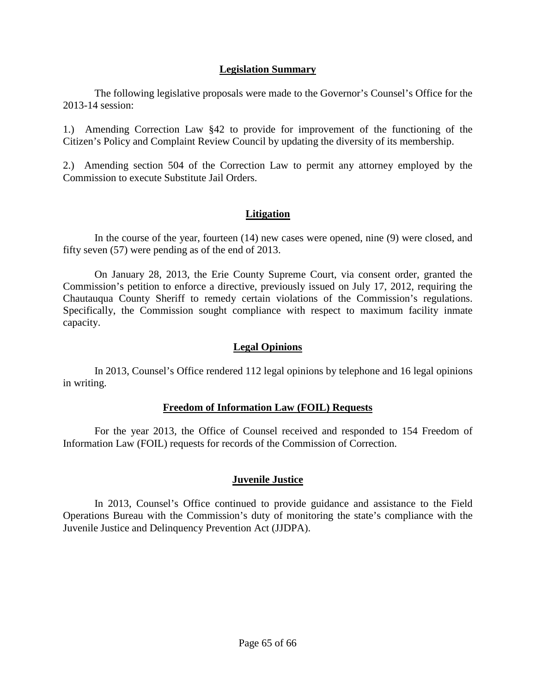# **Legislation Summary**

The following legislative proposals were made to the Governor's Counsel's Office for the 2013-14 session:

1.) Amending Correction Law §42 to provide for improvement of the functioning of the Citizen's Policy and Complaint Review Council by updating the diversity of its membership.

2.) Amending section 504 of the Correction Law to permit any attorney employed by the Commission to execute Substitute Jail Orders.

# **Litigation**

In the course of the year, fourteen (14) new cases were opened, nine (9) were closed, and fifty seven (57) were pending as of the end of 2013.

On January 28, 2013, the Erie County Supreme Court, via consent order, granted the Commission's petition to enforce a directive, previously issued on July 17, 2012, requiring the Chautauqua County Sheriff to remedy certain violations of the Commission's regulations. Specifically, the Commission sought compliance with respect to maximum facility inmate capacity.

# **Legal Opinions**

In 2013, Counsel's Office rendered 112 legal opinions by telephone and 16 legal opinions in writing.

# **Freedom of Information Law (FOIL) Requests**

For the year 2013, the Office of Counsel received and responded to 154 Freedom of Information Law (FOIL) requests for records of the Commission of Correction.

# **Juvenile Justice**

In 2013, Counsel's Office continued to provide guidance and assistance to the Field Operations Bureau with the Commission's duty of monitoring the state's compliance with the Juvenile Justice and Delinquency Prevention Act (JJDPA).